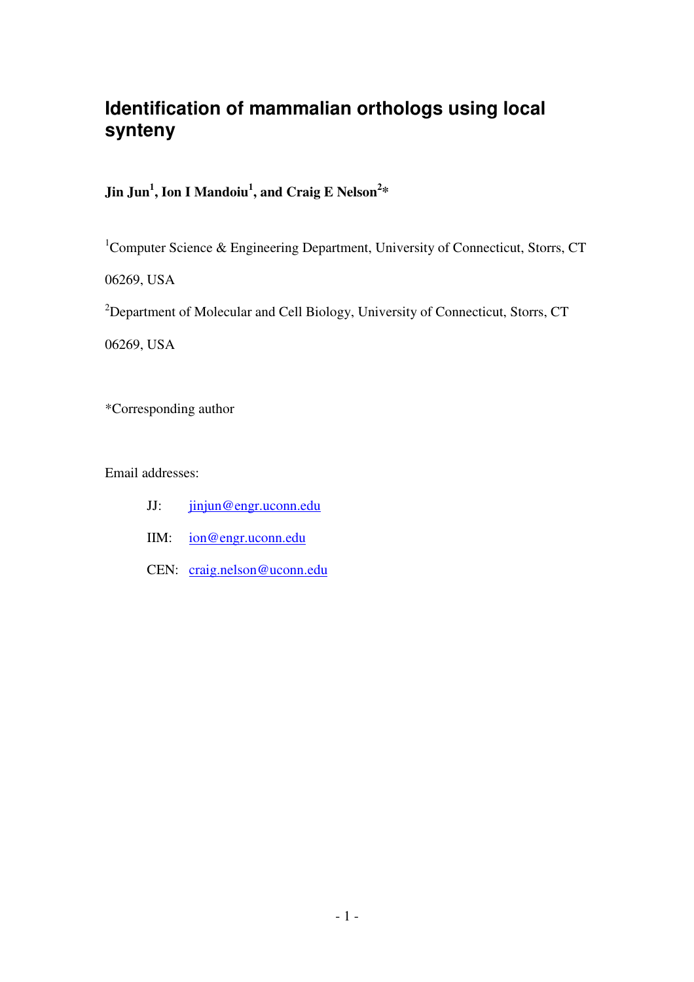# **Identification of mammalian orthologs using local synteny**

## **Jin Jun<sup>1</sup> , Ion I Mandoiu<sup>1</sup> , and Craig E Nelson<sup>2</sup> \***

<sup>1</sup>Computer Science & Engineering Department, University of Connecticut, Storrs, CT

06269, USA

<sup>2</sup>Department of Molecular and Cell Biology, University of Connecticut, Storrs, CT

06269, USA

\*Corresponding author

Email addresses:

- JJ: jinjun@engr.uconn.edu
- IIM: ion@engr.uconn.edu
- CEN: craig.nelson@uconn.edu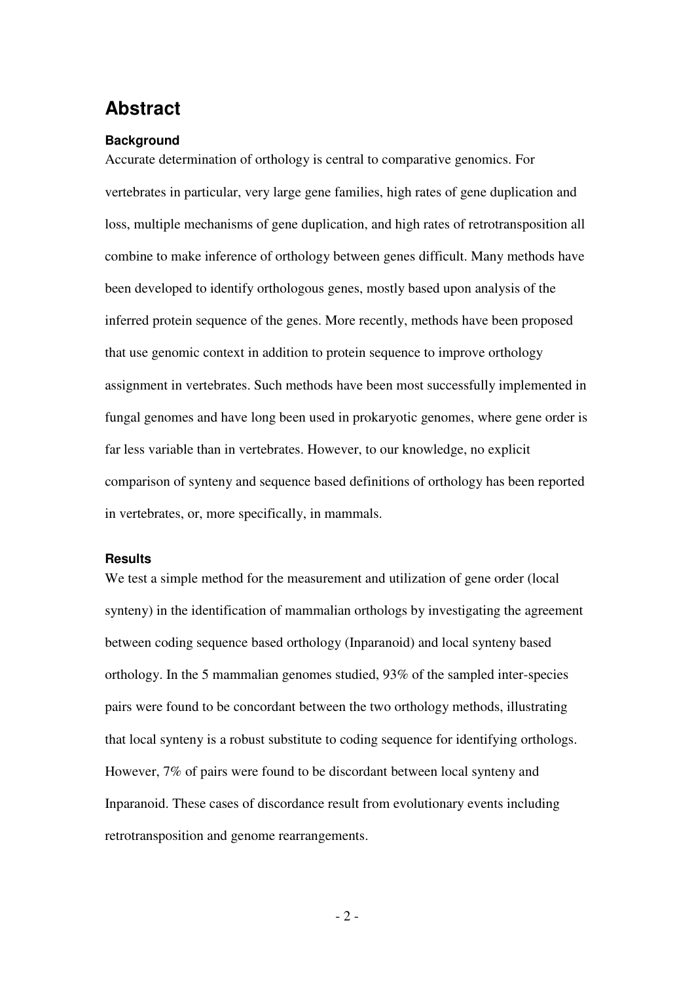# **Abstract**

#### **Background**

Accurate determination of orthology is central to comparative genomics. For vertebrates in particular, very large gene families, high rates of gene duplication and loss, multiple mechanisms of gene duplication, and high rates of retrotransposition all combine to make inference of orthology between genes difficult. Many methods have been developed to identify orthologous genes, mostly based upon analysis of the inferred protein sequence of the genes. More recently, methods have been proposed that use genomic context in addition to protein sequence to improve orthology assignment in vertebrates. Such methods have been most successfully implemented in fungal genomes and have long been used in prokaryotic genomes, where gene order is far less variable than in vertebrates. However, to our knowledge, no explicit comparison of synteny and sequence based definitions of orthology has been reported in vertebrates, or, more specifically, in mammals.

#### **Results**

We test a simple method for the measurement and utilization of gene order (local synteny) in the identification of mammalian orthologs by investigating the agreement between coding sequence based orthology (Inparanoid) and local synteny based orthology. In the 5 mammalian genomes studied, 93% of the sampled inter-species pairs were found to be concordant between the two orthology methods, illustrating that local synteny is a robust substitute to coding sequence for identifying orthologs. However, 7% of pairs were found to be discordant between local synteny and Inparanoid. These cases of discordance result from evolutionary events including retrotransposition and genome rearrangements.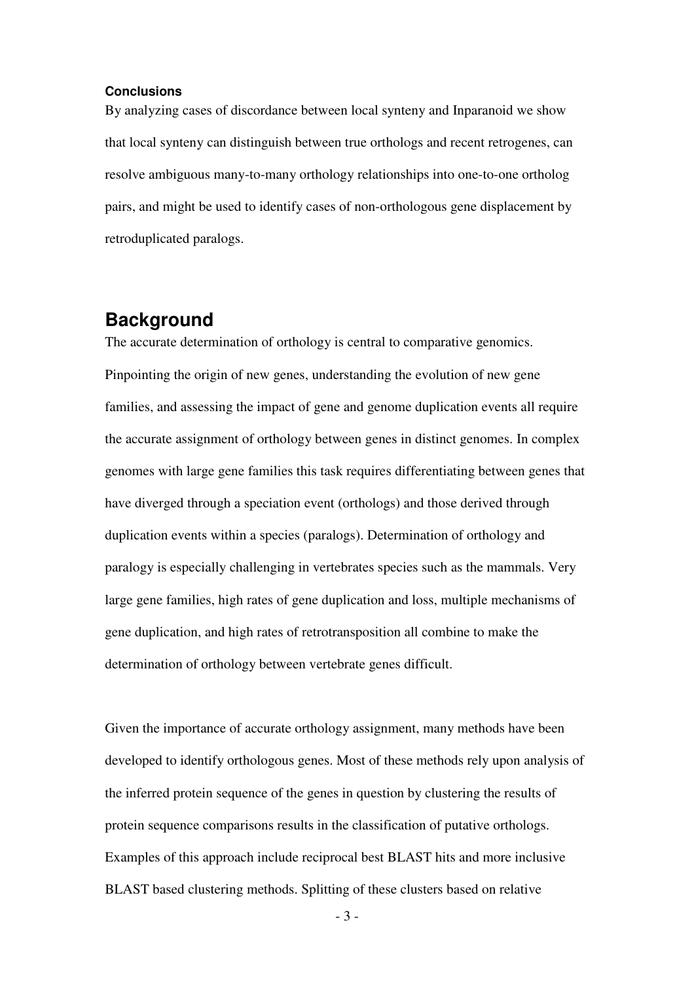#### **Conclusions**

By analyzing cases of discordance between local synteny and Inparanoid we show that local synteny can distinguish between true orthologs and recent retrogenes, can resolve ambiguous many-to-many orthology relationships into one-to-one ortholog pairs, and might be used to identify cases of non-orthologous gene displacement by retroduplicated paralogs.

## **Background**

The accurate determination of orthology is central to comparative genomics. Pinpointing the origin of new genes, understanding the evolution of new gene families, and assessing the impact of gene and genome duplication events all require the accurate assignment of orthology between genes in distinct genomes. In complex genomes with large gene families this task requires differentiating between genes that have diverged through a speciation event (orthologs) and those derived through duplication events within a species (paralogs). Determination of orthology and paralogy is especially challenging in vertebrates species such as the mammals. Very large gene families, high rates of gene duplication and loss, multiple mechanisms of gene duplication, and high rates of retrotransposition all combine to make the determination of orthology between vertebrate genes difficult.

Given the importance of accurate orthology assignment, many methods have been developed to identify orthologous genes. Most of these methods rely upon analysis of the inferred protein sequence of the genes in question by clustering the results of protein sequence comparisons results in the classification of putative orthologs. Examples of this approach include reciprocal best BLAST hits and more inclusive BLAST based clustering methods. Splitting of these clusters based on relative

 $-3-$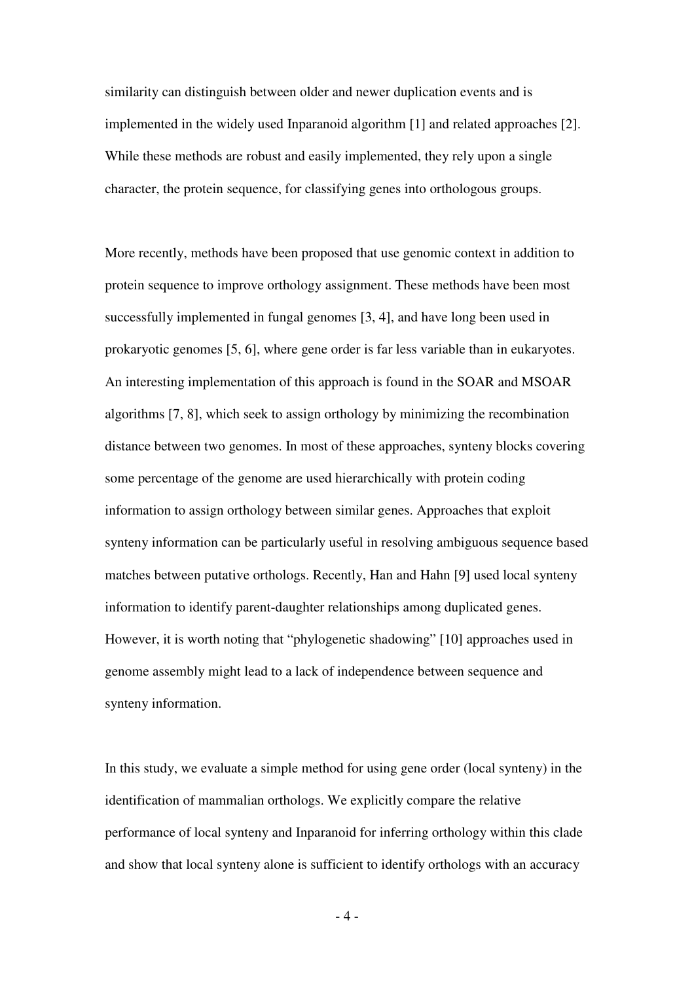similarity can distinguish between older and newer duplication events and is implemented in the widely used Inparanoid algorithm [1] and related approaches [2]. While these methods are robust and easily implemented, they rely upon a single character, the protein sequence, for classifying genes into orthologous groups.

More recently, methods have been proposed that use genomic context in addition to protein sequence to improve orthology assignment. These methods have been most successfully implemented in fungal genomes [3, 4], and have long been used in prokaryotic genomes [5, 6], where gene order is far less variable than in eukaryotes. An interesting implementation of this approach is found in the SOAR and MSOAR algorithms [7, 8], which seek to assign orthology by minimizing the recombination distance between two genomes. In most of these approaches, synteny blocks covering some percentage of the genome are used hierarchically with protein coding information to assign orthology between similar genes. Approaches that exploit synteny information can be particularly useful in resolving ambiguous sequence based matches between putative orthologs. Recently, Han and Hahn [9] used local synteny information to identify parent-daughter relationships among duplicated genes. However, it is worth noting that "phylogenetic shadowing" [10] approaches used in genome assembly might lead to a lack of independence between sequence and synteny information.

In this study, we evaluate a simple method for using gene order (local synteny) in the identification of mammalian orthologs. We explicitly compare the relative performance of local synteny and Inparanoid for inferring orthology within this clade and show that local synteny alone is sufficient to identify orthologs with an accuracy

 $-4-$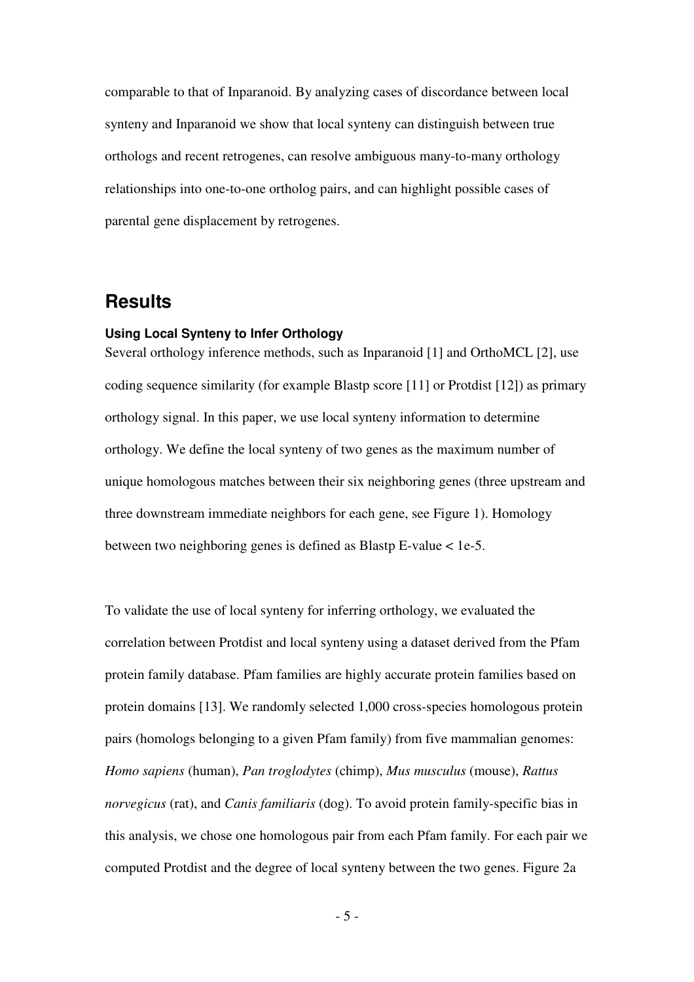comparable to that of Inparanoid. By analyzing cases of discordance between local synteny and Inparanoid we show that local synteny can distinguish between true orthologs and recent retrogenes, can resolve ambiguous many-to-many orthology relationships into one-to-one ortholog pairs, and can highlight possible cases of parental gene displacement by retrogenes.

## **Results**

#### **Using Local Synteny to Infer Orthology**

Several orthology inference methods, such as Inparanoid [1] and OrthoMCL [2], use coding sequence similarity (for example Blastp score [11] or Protdist [12]) as primary orthology signal. In this paper, we use local synteny information to determine orthology. We define the local synteny of two genes as the maximum number of unique homologous matches between their six neighboring genes (three upstream and three downstream immediate neighbors for each gene, see Figure 1). Homology between two neighboring genes is defined as Blastp E-value < 1e-5.

To validate the use of local synteny for inferring orthology, we evaluated the correlation between Protdist and local synteny using a dataset derived from the Pfam protein family database. Pfam families are highly accurate protein families based on protein domains [13]. We randomly selected 1,000 cross-species homologous protein pairs (homologs belonging to a given Pfam family) from five mammalian genomes: *Homo sapiens* (human), *Pan troglodytes* (chimp), *Mus musculus* (mouse), *Rattus norvegicus* (rat), and *Canis familiaris* (dog). To avoid protein family-specific bias in this analysis, we chose one homologous pair from each Pfam family. For each pair we computed Protdist and the degree of local synteny between the two genes. Figure 2a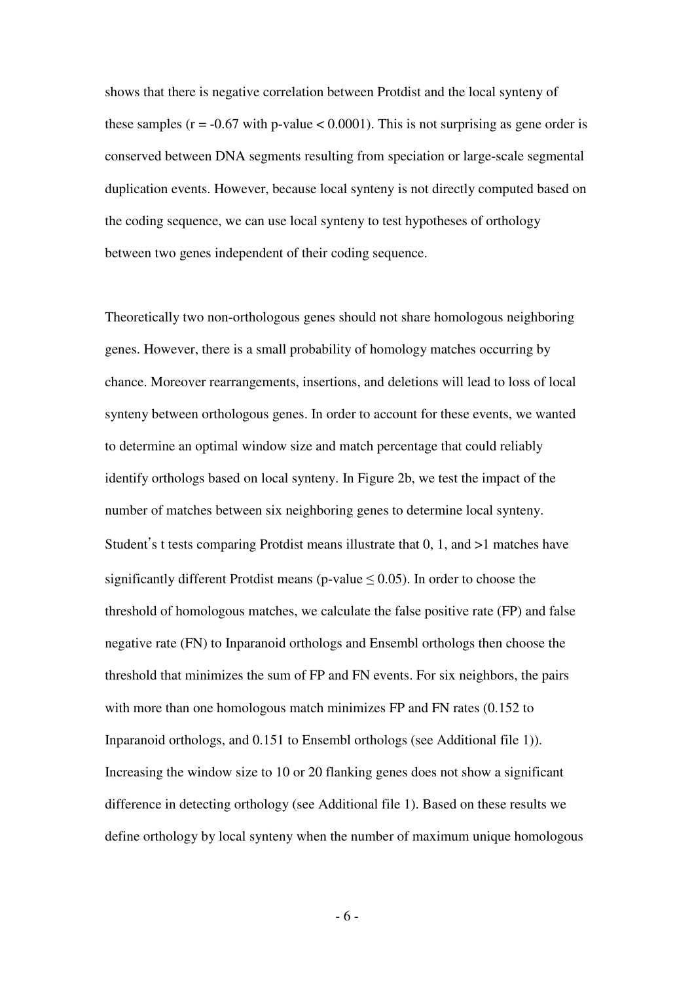shows that there is negative correlation between Protdist and the local synteny of these samples ( $r = -0.67$  with p-value < 0.0001). This is not surprising as gene order is conserved between DNA segments resulting from speciation or large-scale segmental duplication events. However, because local synteny is not directly computed based on the coding sequence, we can use local synteny to test hypotheses of orthology between two genes independent of their coding sequence.

Theoretically two non-orthologous genes should not share homologous neighboring genes. However, there is a small probability of homology matches occurring by chance. Moreover rearrangements, insertions, and deletions will lead to loss of local synteny between orthologous genes. In order to account for these events, we wanted to determine an optimal window size and match percentage that could reliably identify orthologs based on local synteny. In Figure 2b, we test the impact of the number of matches between six neighboring genes to determine local synteny. Student's t tests comparing Protdist means illustrate that  $0, 1$ , and  $>1$  matches have significantly different Protdist means (p-value  $\leq$  0.05). In order to choose the threshold of homologous matches, we calculate the false positive rate (FP) and false negative rate (FN) to Inparanoid orthologs and Ensembl orthologs then choose the threshold that minimizes the sum of FP and FN events. For six neighbors, the pairs with more than one homologous match minimizes FP and FN rates (0.152 to Inparanoid orthologs, and 0.151 to Ensembl orthologs (see Additional file 1)). Increasing the window size to 10 or 20 flanking genes does not show a significant difference in detecting orthology (see Additional file 1). Based on these results we define orthology by local synteny when the number of maximum unique homologous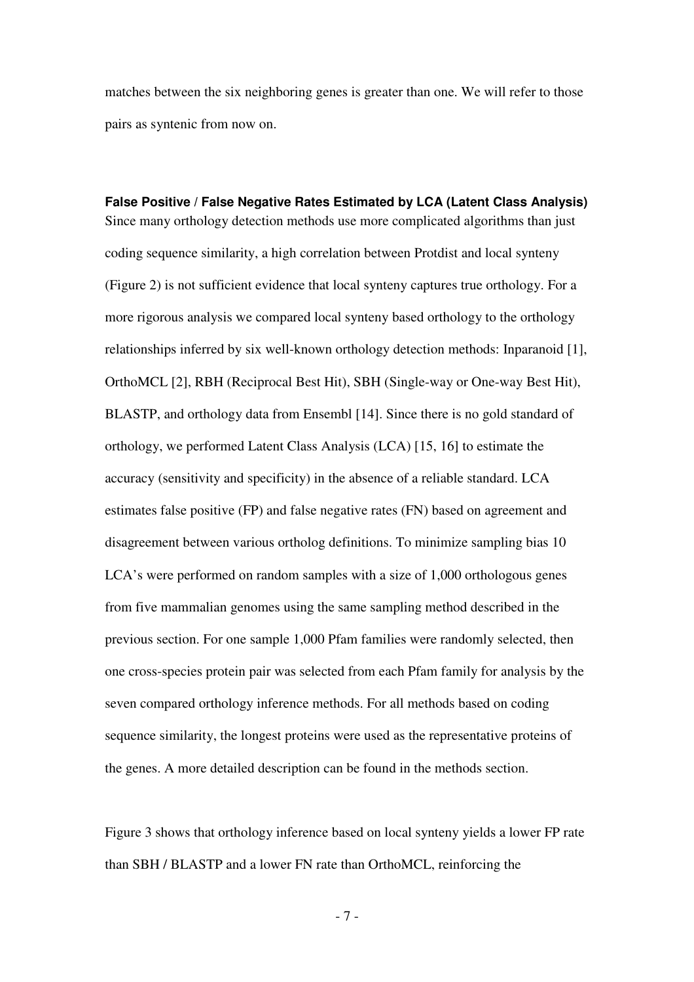matches between the six neighboring genes is greater than one. We will refer to those pairs as syntenic from now on.

**False Positive / False Negative Rates Estimated by LCA (Latent Class Analysis)**  Since many orthology detection methods use more complicated algorithms than just coding sequence similarity, a high correlation between Protdist and local synteny (Figure 2) is not sufficient evidence that local synteny captures true orthology. For a more rigorous analysis we compared local synteny based orthology to the orthology relationships inferred by six well-known orthology detection methods: Inparanoid [1], OrthoMCL [2], RBH (Reciprocal Best Hit), SBH (Single-way or One-way Best Hit), BLASTP, and orthology data from Ensembl [14]. Since there is no gold standard of orthology, we performed Latent Class Analysis (LCA) [15, 16] to estimate the accuracy (sensitivity and specificity) in the absence of a reliable standard. LCA estimates false positive (FP) and false negative rates (FN) based on agreement and disagreement between various ortholog definitions. To minimize sampling bias 10 LCA's were performed on random samples with a size of 1,000 orthologous genes from five mammalian genomes using the same sampling method described in the previous section. For one sample 1,000 Pfam families were randomly selected, then one cross-species protein pair was selected from each Pfam family for analysis by the seven compared orthology inference methods. For all methods based on coding sequence similarity, the longest proteins were used as the representative proteins of the genes. A more detailed description can be found in the methods section.

Figure 3 shows that orthology inference based on local synteny yields a lower FP rate than SBH / BLASTP and a lower FN rate than OrthoMCL, reinforcing the

- 7 -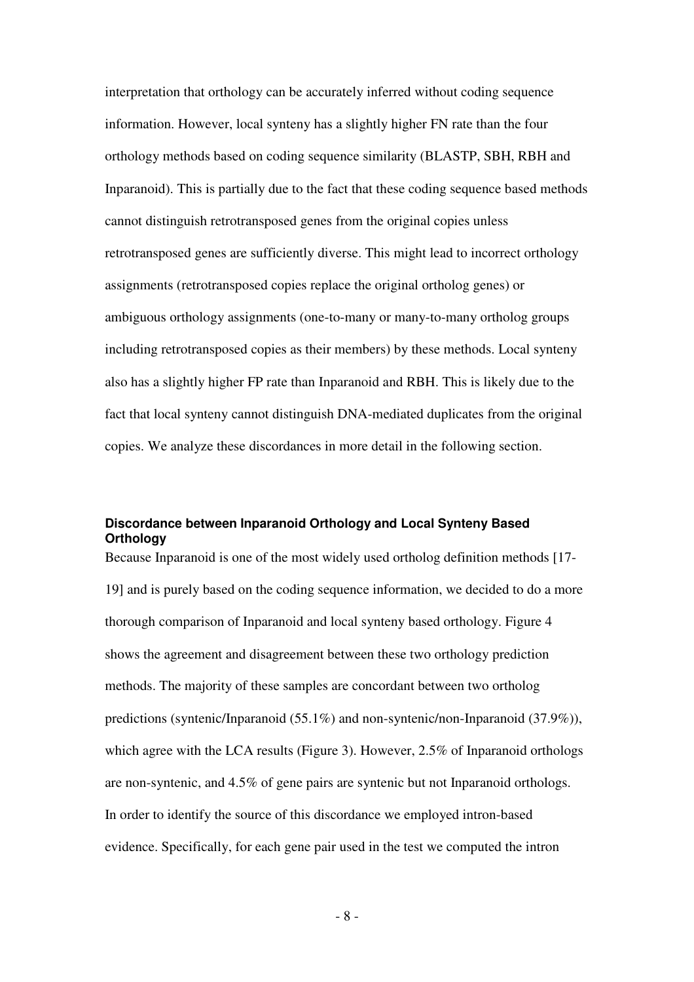interpretation that orthology can be accurately inferred without coding sequence information. However, local synteny has a slightly higher FN rate than the four orthology methods based on coding sequence similarity (BLASTP, SBH, RBH and Inparanoid). This is partially due to the fact that these coding sequence based methods cannot distinguish retrotransposed genes from the original copies unless retrotransposed genes are sufficiently diverse. This might lead to incorrect orthology assignments (retrotransposed copies replace the original ortholog genes) or ambiguous orthology assignments (one-to-many or many-to-many ortholog groups including retrotransposed copies as their members) by these methods. Local synteny also has a slightly higher FP rate than Inparanoid and RBH. This is likely due to the fact that local synteny cannot distinguish DNA-mediated duplicates from the original copies. We analyze these discordances in more detail in the following section.

#### **Discordance between Inparanoid Orthology and Local Synteny Based Orthology**

Because Inparanoid is one of the most widely used ortholog definition methods [17- 19] and is purely based on the coding sequence information, we decided to do a more thorough comparison of Inparanoid and local synteny based orthology. Figure 4 shows the agreement and disagreement between these two orthology prediction methods. The majority of these samples are concordant between two ortholog predictions (syntenic/Inparanoid (55.1%) and non-syntenic/non-Inparanoid (37.9%)), which agree with the LCA results (Figure 3). However, 2.5% of Inparanoid orthologs are non-syntenic, and 4.5% of gene pairs are syntenic but not Inparanoid orthologs. In order to identify the source of this discordance we employed intron-based evidence. Specifically, for each gene pair used in the test we computed the intron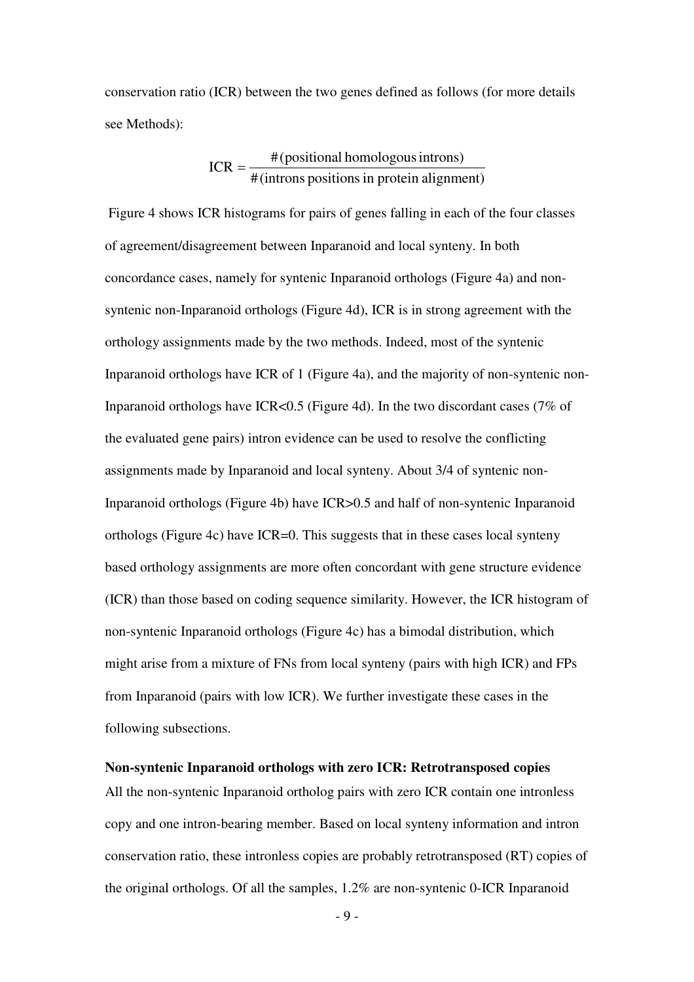conservation ratio (ICR) between the two genes defined as follows (for more details see Methods):

$$
ICR = \frac{\#(positional homologous introns)}{\#(introns positions in protein alignment)}
$$

 Figure 4 shows ICR histograms for pairs of genes falling in each of the four classes of agreement/disagreement between Inparanoid and local synteny. In both concordance cases, namely for syntenic Inparanoid orthologs (Figure 4a) and nonsyntenic non-Inparanoid orthologs (Figure 4d), ICR is in strong agreement with the orthology assignments made by the two methods. Indeed, most of the syntenic Inparanoid orthologs have ICR of 1 (Figure 4a), and the majority of non-syntenic non-Inparanoid orthologs have ICR<0.5 (Figure 4d). In the two discordant cases (7% of the evaluated gene pairs) intron evidence can be used to resolve the conflicting assignments made by Inparanoid and local synteny. About 3/4 of syntenic non-Inparanoid orthologs (Figure 4b) have ICR>0.5 and half of non-syntenic Inparanoid orthologs (Figure 4c) have ICR=0. This suggests that in these cases local synteny based orthology assignments are more often concordant with gene structure evidence (ICR) than those based on coding sequence similarity. However, the ICR histogram of non-syntenic Inparanoid orthologs (Figure 4c) has a bimodal distribution, which might arise from a mixture of FNs from local synteny (pairs with high ICR) and FPs from Inparanoid (pairs with low ICR). We further investigate these cases in the following subsections.

#### **Non-syntenic Inparanoid orthologs with zero ICR: Retrotransposed copies**

All the non-syntenic Inparanoid ortholog pairs with zero ICR contain one intronless copy and one intron-bearing member. Based on local synteny information and intron conservation ratio, these intronless copies are probably retrotransposed (RT) copies of the original orthologs. Of all the samples, 1.2% are non-syntenic 0-ICR Inparanoid

 $-9-$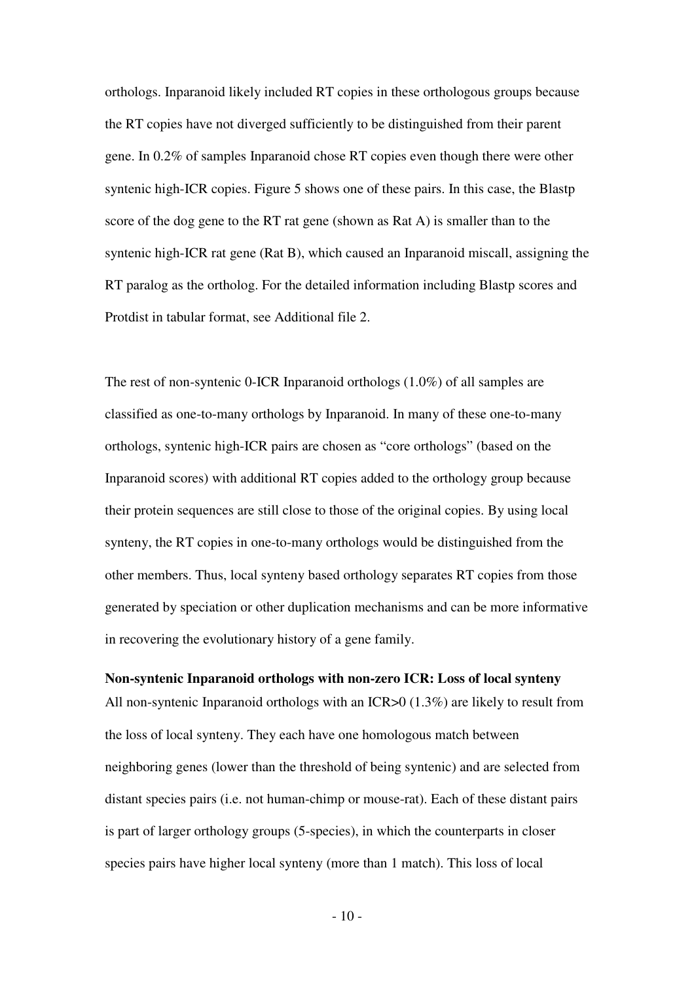orthologs. Inparanoid likely included RT copies in these orthologous groups because the RT copies have not diverged sufficiently to be distinguished from their parent gene. In 0.2% of samples Inparanoid chose RT copies even though there were other syntenic high-ICR copies. Figure 5 shows one of these pairs. In this case, the Blastp score of the dog gene to the RT rat gene (shown as Rat A) is smaller than to the syntenic high-ICR rat gene (Rat B), which caused an Inparanoid miscall, assigning the RT paralog as the ortholog. For the detailed information including Blastp scores and Protdist in tabular format, see Additional file 2.

The rest of non-syntenic 0-ICR Inparanoid orthologs (1.0%) of all samples are classified as one-to-many orthologs by Inparanoid. In many of these one-to-many orthologs, syntenic high-ICR pairs are chosen as "core orthologs" (based on the Inparanoid scores) with additional RT copies added to the orthology group because their protein sequences are still close to those of the original copies. By using local synteny, the RT copies in one-to-many orthologs would be distinguished from the other members. Thus, local synteny based orthology separates RT copies from those generated by speciation or other duplication mechanisms and can be more informative in recovering the evolutionary history of a gene family.

#### **Non-syntenic Inparanoid orthologs with non-zero ICR: Loss of local synteny**

All non-syntenic Inparanoid orthologs with an ICR>0 (1.3%) are likely to result from the loss of local synteny. They each have one homologous match between neighboring genes (lower than the threshold of being syntenic) and are selected from distant species pairs (i.e. not human-chimp or mouse-rat). Each of these distant pairs is part of larger orthology groups (5-species), in which the counterparts in closer species pairs have higher local synteny (more than 1 match). This loss of local

 $-10-$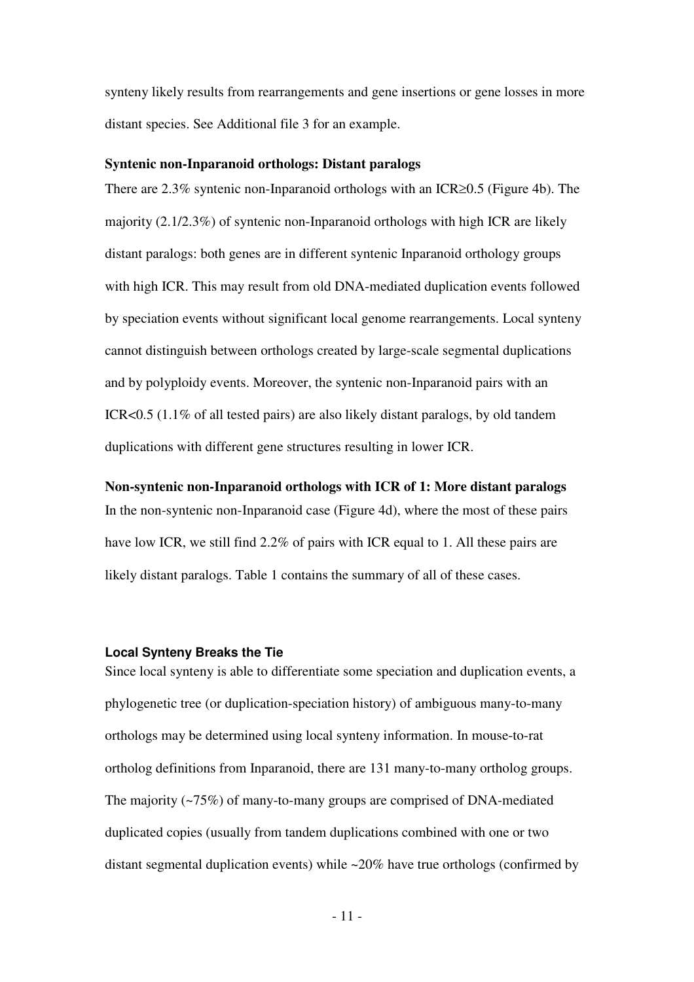synteny likely results from rearrangements and gene insertions or gene losses in more distant species. See Additional file 3 for an example.

#### **Syntenic non-Inparanoid orthologs: Distant paralogs**

There are 2.3% syntenic non-Inparanoid orthologs with an ICR≥0.5 (Figure 4b). The majority (2.1/2.3%) of syntenic non-Inparanoid orthologs with high ICR are likely distant paralogs: both genes are in different syntenic Inparanoid orthology groups with high ICR. This may result from old DNA-mediated duplication events followed by speciation events without significant local genome rearrangements. Local synteny cannot distinguish between orthologs created by large-scale segmental duplications and by polyploidy events. Moreover, the syntenic non-Inparanoid pairs with an ICR<0.5 (1.1% of all tested pairs) are also likely distant paralogs, by old tandem duplications with different gene structures resulting in lower ICR.

**Non-syntenic non-Inparanoid orthologs with ICR of 1: More distant paralogs**  In the non-syntenic non-Inparanoid case (Figure 4d), where the most of these pairs have low ICR, we still find 2.2% of pairs with ICR equal to 1. All these pairs are likely distant paralogs. Table 1 contains the summary of all of these cases.

#### **Local Synteny Breaks the Tie**

Since local synteny is able to differentiate some speciation and duplication events, a phylogenetic tree (or duplication-speciation history) of ambiguous many-to-many orthologs may be determined using local synteny information. In mouse-to-rat ortholog definitions from Inparanoid, there are 131 many-to-many ortholog groups. The majority (~75%) of many-to-many groups are comprised of DNA-mediated duplicated copies (usually from tandem duplications combined with one or two distant segmental duplication events) while  $\approx 20\%$  have true orthologs (confirmed by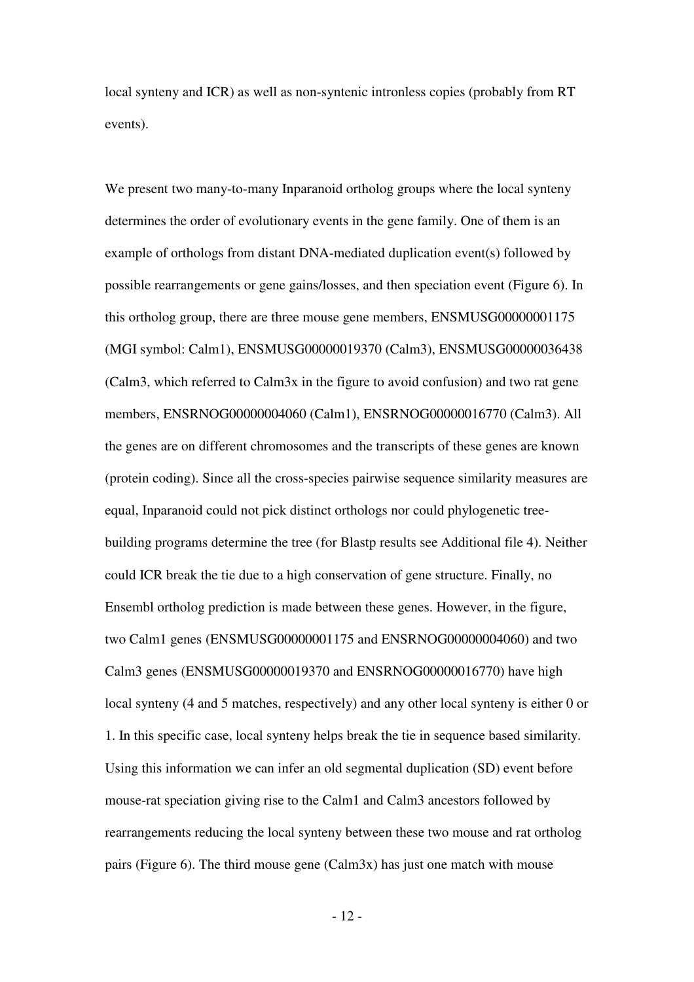local synteny and ICR) as well as non-syntenic intronless copies (probably from RT events).

We present two many-to-many Inparanoid ortholog groups where the local synteny determines the order of evolutionary events in the gene family. One of them is an example of orthologs from distant DNA-mediated duplication event(s) followed by possible rearrangements or gene gains/losses, and then speciation event (Figure 6). In this ortholog group, there are three mouse gene members, ENSMUSG00000001175 (MGI symbol: Calm1), ENSMUSG00000019370 (Calm3), ENSMUSG00000036438 (Calm3, which referred to Calm3x in the figure to avoid confusion) and two rat gene members, ENSRNOG00000004060 (Calm1), ENSRNOG00000016770 (Calm3). All the genes are on different chromosomes and the transcripts of these genes are known (protein coding). Since all the cross-species pairwise sequence similarity measures are equal, Inparanoid could not pick distinct orthologs nor could phylogenetic treebuilding programs determine the tree (for Blastp results see Additional file 4). Neither could ICR break the tie due to a high conservation of gene structure. Finally, no Ensembl ortholog prediction is made between these genes. However, in the figure, two Calm1 genes (ENSMUSG00000001175 and ENSRNOG00000004060) and two Calm3 genes (ENSMUSG00000019370 and ENSRNOG00000016770) have high local synteny (4 and 5 matches, respectively) and any other local synteny is either 0 or 1. In this specific case, local synteny helps break the tie in sequence based similarity. Using this information we can infer an old segmental duplication (SD) event before mouse-rat speciation giving rise to the Calm1 and Calm3 ancestors followed by rearrangements reducing the local synteny between these two mouse and rat ortholog pairs (Figure 6). The third mouse gene  $(Calm3x)$  has just one match with mouse

 $-12$  -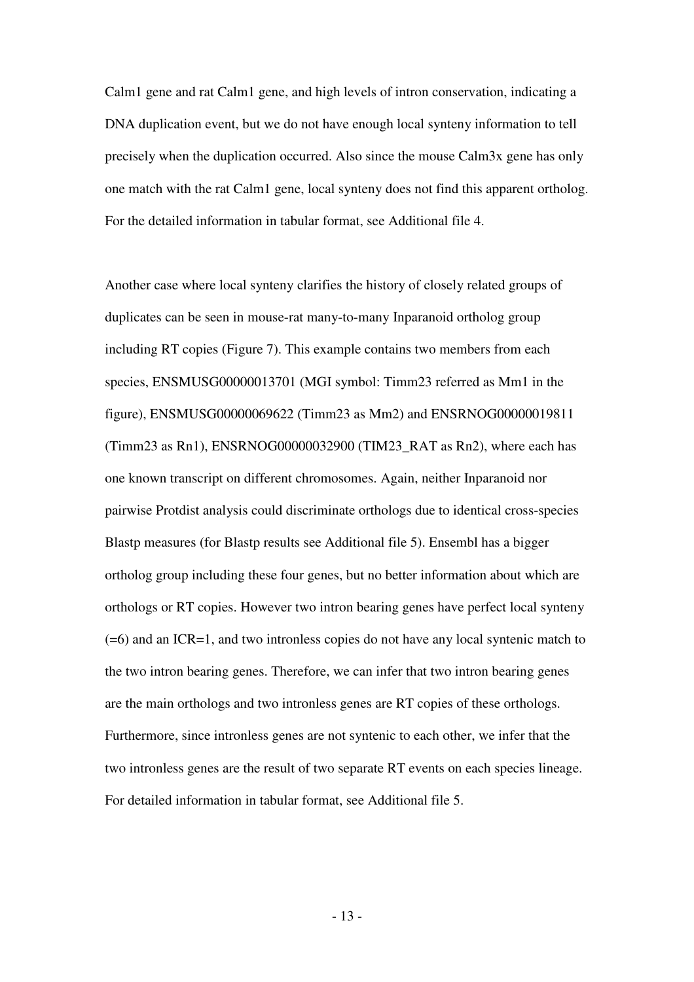Calm1 gene and rat Calm1 gene, and high levels of intron conservation, indicating a DNA duplication event, but we do not have enough local synteny information to tell precisely when the duplication occurred. Also since the mouse Calm3x gene has only one match with the rat Calm1 gene, local synteny does not find this apparent ortholog. For the detailed information in tabular format, see Additional file 4.

Another case where local synteny clarifies the history of closely related groups of duplicates can be seen in mouse-rat many-to-many Inparanoid ortholog group including RT copies (Figure 7). This example contains two members from each species, ENSMUSG00000013701 (MGI symbol: Timm23 referred as Mm1 in the figure), ENSMUSG00000069622 (Timm23 as Mm2) and ENSRNOG00000019811 (Timm23 as Rn1), ENSRNOG00000032900 (TIM23\_RAT as Rn2), where each has one known transcript on different chromosomes. Again, neither Inparanoid nor pairwise Protdist analysis could discriminate orthologs due to identical cross-species Blastp measures (for Blastp results see Additional file 5). Ensembl has a bigger ortholog group including these four genes, but no better information about which are orthologs or RT copies. However two intron bearing genes have perfect local synteny (=6) and an ICR=1, and two intronless copies do not have any local syntenic match to the two intron bearing genes. Therefore, we can infer that two intron bearing genes are the main orthologs and two intronless genes are RT copies of these orthologs. Furthermore, since intronless genes are not syntenic to each other, we infer that the two intronless genes are the result of two separate RT events on each species lineage. For detailed information in tabular format, see Additional file 5.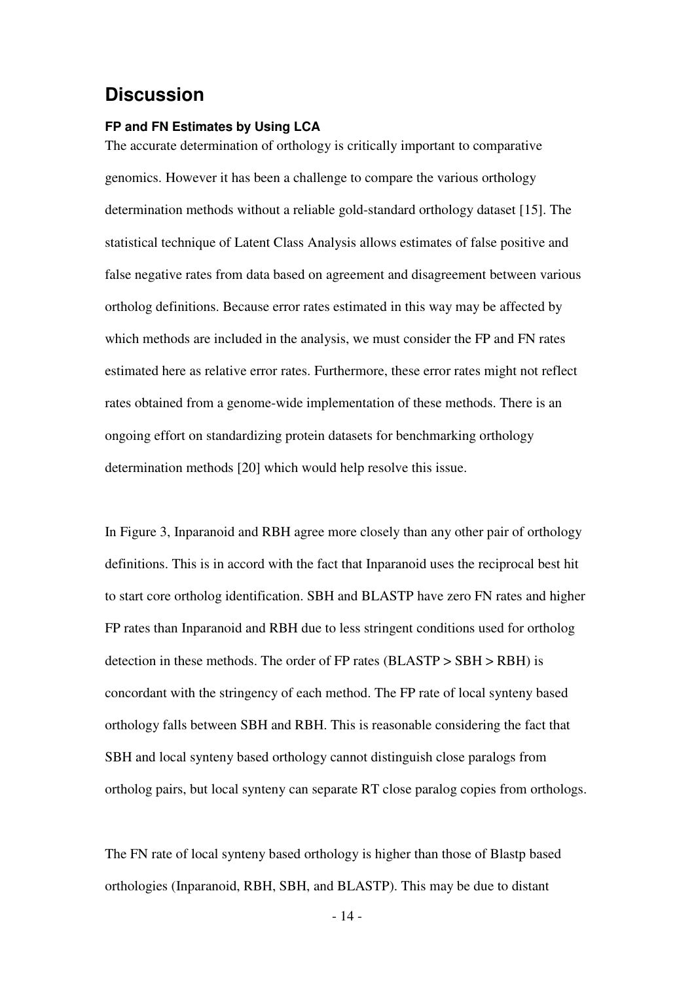## **Discussion**

#### **FP and FN Estimates by Using LCA**

The accurate determination of orthology is critically important to comparative genomics. However it has been a challenge to compare the various orthology determination methods without a reliable gold-standard orthology dataset [15]. The statistical technique of Latent Class Analysis allows estimates of false positive and false negative rates from data based on agreement and disagreement between various ortholog definitions. Because error rates estimated in this way may be affected by which methods are included in the analysis, we must consider the FP and FN rates estimated here as relative error rates. Furthermore, these error rates might not reflect rates obtained from a genome-wide implementation of these methods. There is an ongoing effort on standardizing protein datasets for benchmarking orthology determination methods [20] which would help resolve this issue.

In Figure 3, Inparanoid and RBH agree more closely than any other pair of orthology definitions. This is in accord with the fact that Inparanoid uses the reciprocal best hit to start core ortholog identification. SBH and BLASTP have zero FN rates and higher FP rates than Inparanoid and RBH due to less stringent conditions used for ortholog detection in these methods. The order of FP rates (BLASTP > SBH > RBH) is concordant with the stringency of each method. The FP rate of local synteny based orthology falls between SBH and RBH. This is reasonable considering the fact that SBH and local synteny based orthology cannot distinguish close paralogs from ortholog pairs, but local synteny can separate RT close paralog copies from orthologs.

The FN rate of local synteny based orthology is higher than those of Blastp based orthologies (Inparanoid, RBH, SBH, and BLASTP). This may be due to distant

 $-14$  -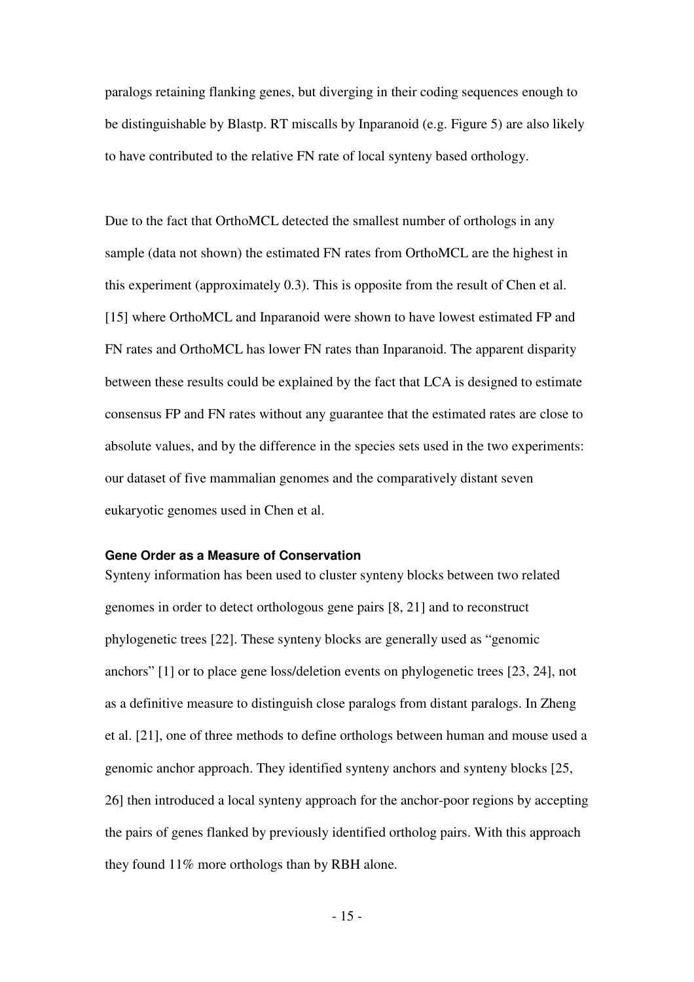paralogs retaining flanking genes, but diverging in their coding sequences enough to be distinguishable by Blastp. RT miscalls by Inparanoid (e.g. Figure 5) are also likely to have contributed to the relative FN rate of local synteny based orthology.

Due to the fact that OrthoMCL detected the smallest number of orthologs in any sample (data not shown) the estimated FN rates from OrthoMCL are the highest in this experiment (approximately 0.3). This is opposite from the result of Chen et al. [15] where OrthoMCL and Inparanoid were shown to have lowest estimated FP and FN rates and OrthoMCL has lower FN rates than Inparanoid. The apparent disparity between these results could be explained by the fact that LCA is designed to estimate consensus FP and FN rates without any guarantee that the estimated rates are close to absolute values, and by the difference in the species sets used in the two experiments: our dataset of five mammalian genomes and the comparatively distant seven eukaryotic genomes used in Chen et al.

#### **Gene Order as a Measure of Conservation**

Synteny information has been used to cluster synteny blocks between two related genomes in order to detect orthologous gene pairs [8, 21] and to reconstruct phylogenetic trees [22]. These synteny blocks are generally used as "genomic anchors" [1] or to place gene loss/deletion events on phylogenetic trees [23, 24], not as a definitive measure to distinguish close paralogs from distant paralogs. In Zheng et al. [21], one of three methods to define orthologs between human and mouse used a genomic anchor approach. They identified synteny anchors and synteny blocks [25, 26] then introduced a local synteny approach for the anchor-poor regions by accepting the pairs of genes flanked by previously identified ortholog pairs. With this approach they found 11% more orthologs than by RBH alone.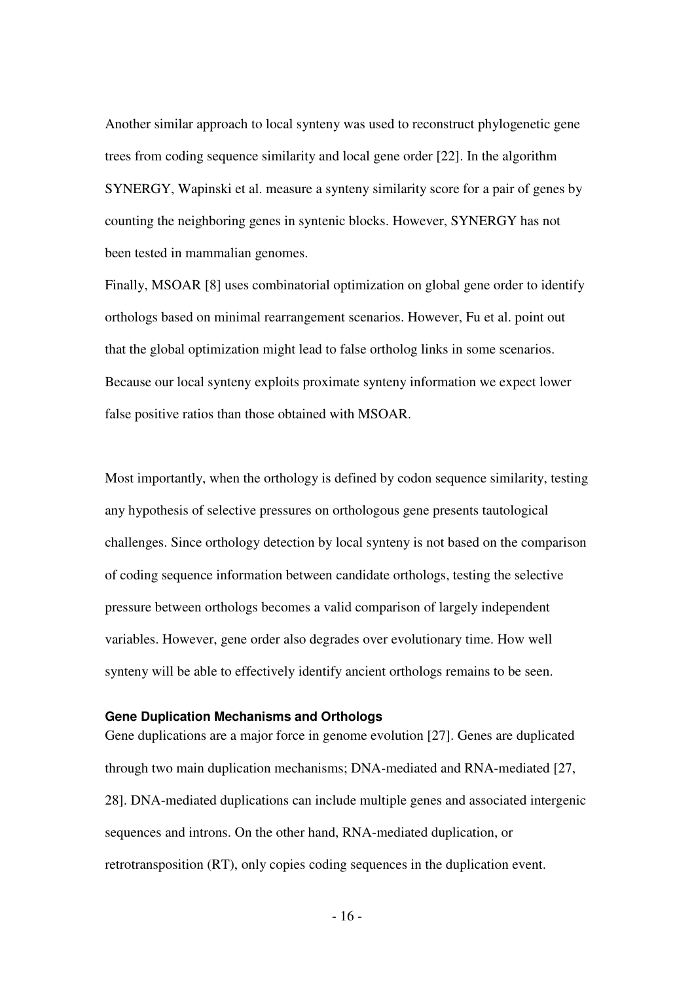Another similar approach to local synteny was used to reconstruct phylogenetic gene trees from coding sequence similarity and local gene order [22]. In the algorithm SYNERGY, Wapinski et al. measure a synteny similarity score for a pair of genes by counting the neighboring genes in syntenic blocks. However, SYNERGY has not been tested in mammalian genomes.

Finally, MSOAR [8] uses combinatorial optimization on global gene order to identify orthologs based on minimal rearrangement scenarios. However, Fu et al. point out that the global optimization might lead to false ortholog links in some scenarios. Because our local synteny exploits proximate synteny information we expect lower false positive ratios than those obtained with MSOAR.

Most importantly, when the orthology is defined by codon sequence similarity, testing any hypothesis of selective pressures on orthologous gene presents tautological challenges. Since orthology detection by local synteny is not based on the comparison of coding sequence information between candidate orthologs, testing the selective pressure between orthologs becomes a valid comparison of largely independent variables. However, gene order also degrades over evolutionary time. How well synteny will be able to effectively identify ancient orthologs remains to be seen.

#### **Gene Duplication Mechanisms and Orthologs**

Gene duplications are a major force in genome evolution [27]. Genes are duplicated through two main duplication mechanisms; DNA-mediated and RNA-mediated [27, 28]. DNA-mediated duplications can include multiple genes and associated intergenic sequences and introns. On the other hand, RNA-mediated duplication, or retrotransposition (RT), only copies coding sequences in the duplication event.

 $-16$  -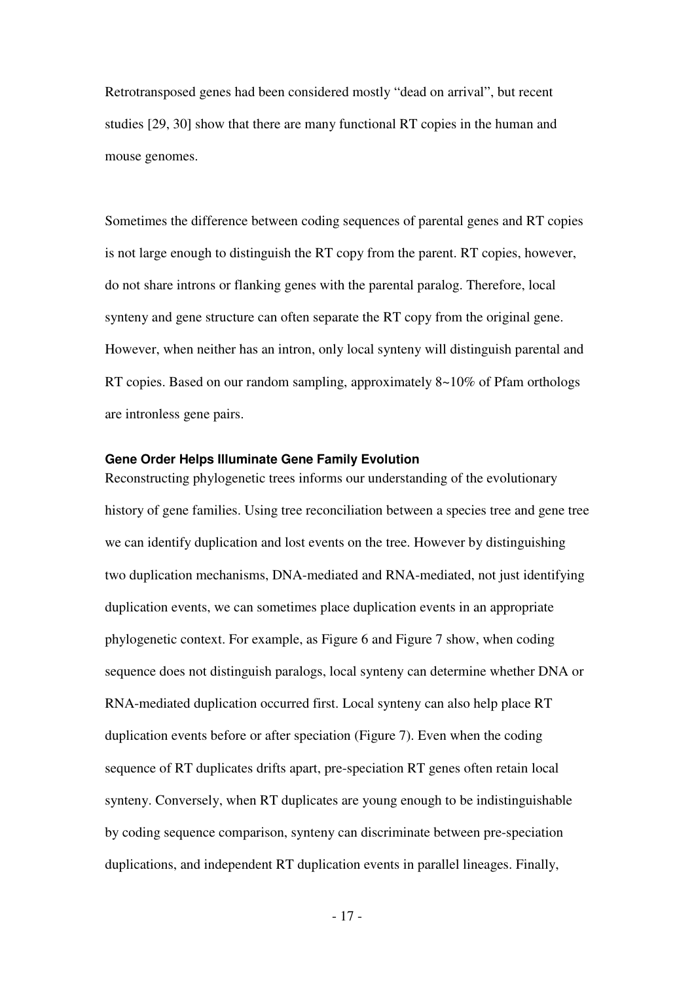Retrotransposed genes had been considered mostly "dead on arrival", but recent studies [29, 30] show that there are many functional RT copies in the human and mouse genomes.

Sometimes the difference between coding sequences of parental genes and RT copies is not large enough to distinguish the RT copy from the parent. RT copies, however, do not share introns or flanking genes with the parental paralog. Therefore, local synteny and gene structure can often separate the RT copy from the original gene. However, when neither has an intron, only local synteny will distinguish parental and RT copies. Based on our random sampling, approximately 8~10% of Pfam orthologs are intronless gene pairs.

#### **Gene Order Helps Illuminate Gene Family Evolution**

Reconstructing phylogenetic trees informs our understanding of the evolutionary history of gene families. Using tree reconciliation between a species tree and gene tree we can identify duplication and lost events on the tree. However by distinguishing two duplication mechanisms, DNA-mediated and RNA-mediated, not just identifying duplication events, we can sometimes place duplication events in an appropriate phylogenetic context. For example, as Figure 6 and Figure 7 show, when coding sequence does not distinguish paralogs, local synteny can determine whether DNA or RNA-mediated duplication occurred first. Local synteny can also help place RT duplication events before or after speciation (Figure 7). Even when the coding sequence of RT duplicates drifts apart, pre-speciation RT genes often retain local synteny. Conversely, when RT duplicates are young enough to be indistinguishable by coding sequence comparison, synteny can discriminate between pre-speciation duplications, and independent RT duplication events in parallel lineages. Finally,

- 17 -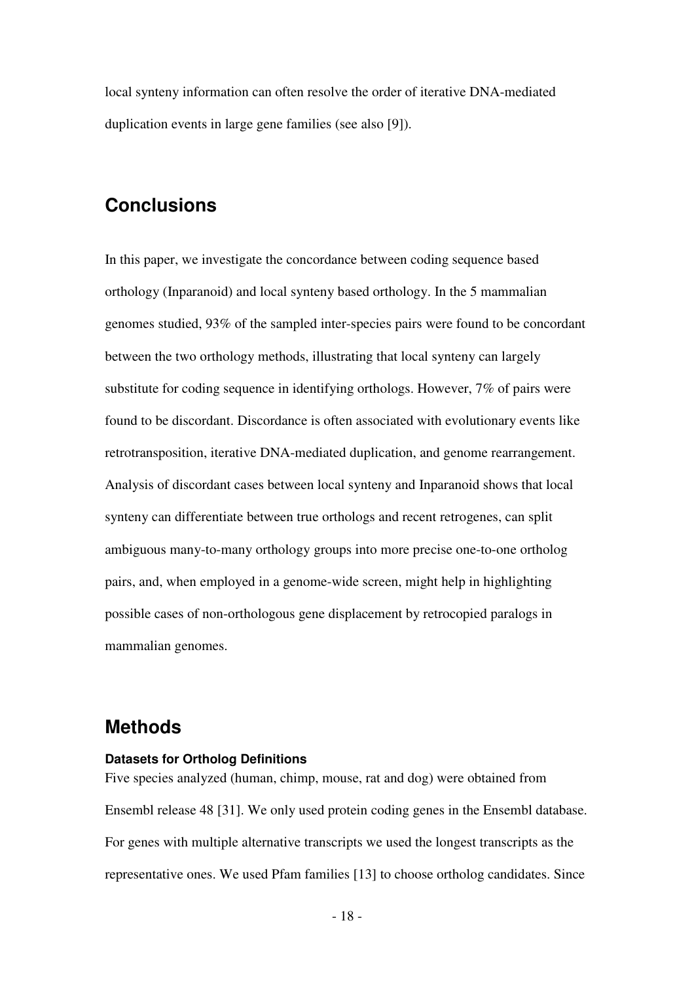local synteny information can often resolve the order of iterative DNA-mediated duplication events in large gene families (see also [9]).

# **Conclusions**

In this paper, we investigate the concordance between coding sequence based orthology (Inparanoid) and local synteny based orthology. In the 5 mammalian genomes studied, 93% of the sampled inter-species pairs were found to be concordant between the two orthology methods, illustrating that local synteny can largely substitute for coding sequence in identifying orthologs. However, 7% of pairs were found to be discordant. Discordance is often associated with evolutionary events like retrotransposition, iterative DNA-mediated duplication, and genome rearrangement. Analysis of discordant cases between local synteny and Inparanoid shows that local synteny can differentiate between true orthologs and recent retrogenes, can split ambiguous many-to-many orthology groups into more precise one-to-one ortholog pairs, and, when employed in a genome-wide screen, might help in highlighting possible cases of non-orthologous gene displacement by retrocopied paralogs in mammalian genomes.

## **Methods**

### **Datasets for Ortholog Definitions**

Five species analyzed (human, chimp, mouse, rat and dog) were obtained from Ensembl release 48 [31]. We only used protein coding genes in the Ensembl database. For genes with multiple alternative transcripts we used the longest transcripts as the representative ones. We used Pfam families [13] to choose ortholog candidates. Since

- 18 -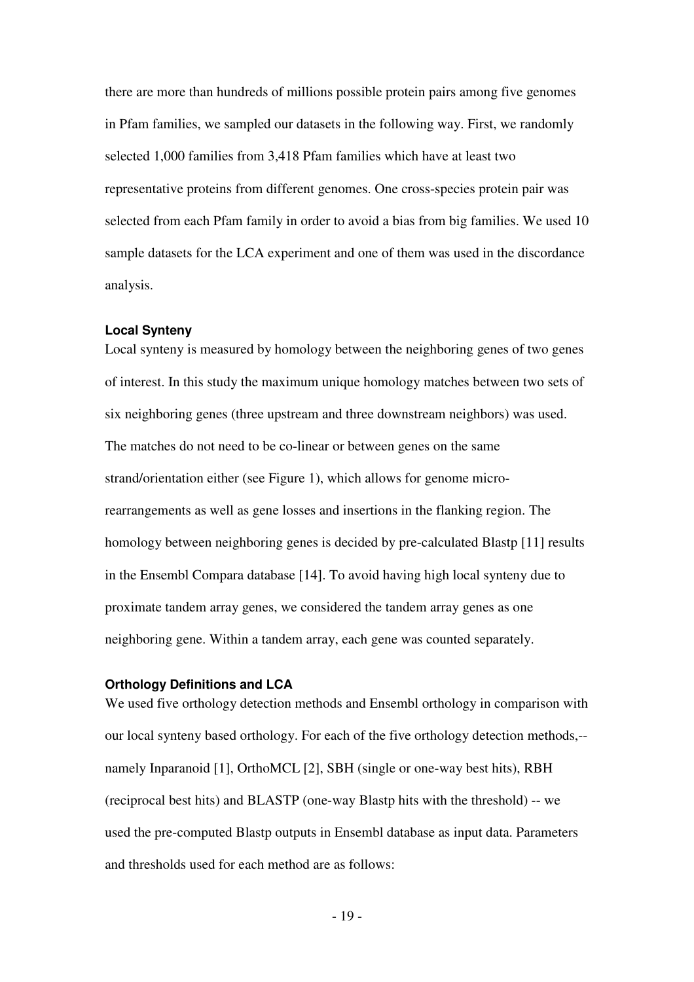there are more than hundreds of millions possible protein pairs among five genomes in Pfam families, we sampled our datasets in the following way. First, we randomly selected 1,000 families from 3,418 Pfam families which have at least two representative proteins from different genomes. One cross-species protein pair was selected from each Pfam family in order to avoid a bias from big families. We used 10 sample datasets for the LCA experiment and one of them was used in the discordance analysis.

#### **Local Synteny**

Local synteny is measured by homology between the neighboring genes of two genes of interest. In this study the maximum unique homology matches between two sets of six neighboring genes (three upstream and three downstream neighbors) was used. The matches do not need to be co-linear or between genes on the same strand/orientation either (see Figure 1), which allows for genome microrearrangements as well as gene losses and insertions in the flanking region. The homology between neighboring genes is decided by pre-calculated Blastp [11] results in the Ensembl Compara database [14]. To avoid having high local synteny due to proximate tandem array genes, we considered the tandem array genes as one neighboring gene. Within a tandem array, each gene was counted separately.

### **Orthology Definitions and LCA**

We used five orthology detection methods and Ensembl orthology in comparison with our local synteny based orthology. For each of the five orthology detection methods,- namely Inparanoid [1], OrthoMCL [2], SBH (single or one-way best hits), RBH (reciprocal best hits) and BLASTP (one-way Blastp hits with the threshold) -- we used the pre-computed Blastp outputs in Ensembl database as input data. Parameters and thresholds used for each method are as follows: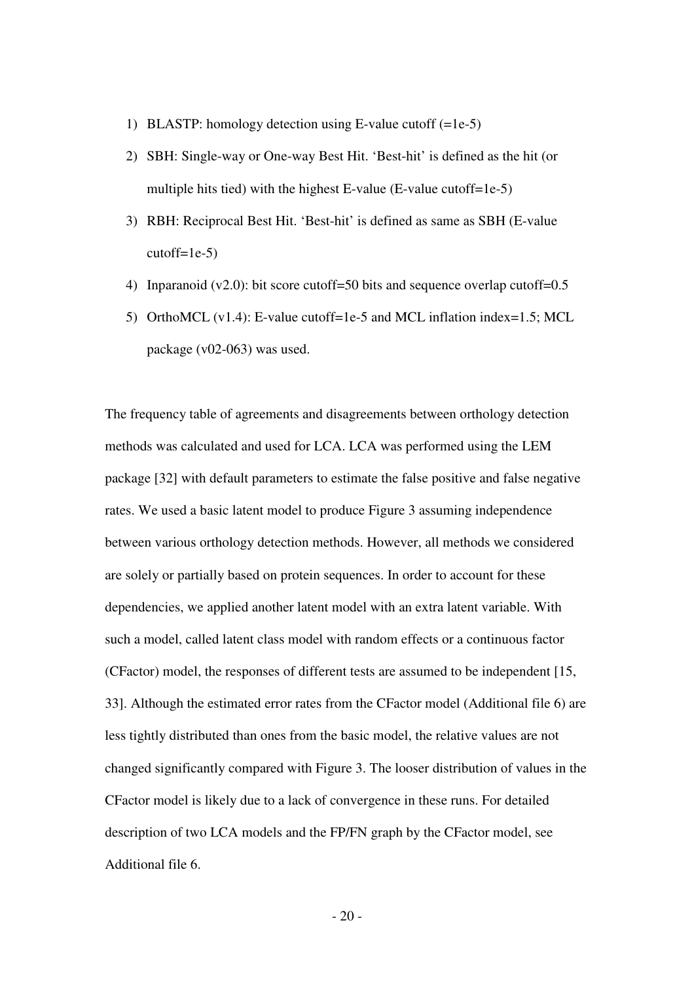- 1) BLASTP: homology detection using E-value cutoff (=1e-5)
- 2) SBH: Single-way or One-way Best Hit. 'Best-hit' is defined as the hit (or multiple hits tied) with the highest E-value (E-value cutoff=1e-5)
- 3) RBH: Reciprocal Best Hit. 'Best-hit' is defined as same as SBH (E-value  $cutoff=1e-5$ )
- 4) Inparanoid (v2.0): bit score cutoff=50 bits and sequence overlap cutoff=0.5
- 5) OrthoMCL (v1.4): E-value cutoff=1e-5 and MCL inflation index=1.5; MCL package (v02-063) was used.

The frequency table of agreements and disagreements between orthology detection methods was calculated and used for LCA. LCA was performed using the LEM package [32] with default parameters to estimate the false positive and false negative rates. We used a basic latent model to produce Figure 3 assuming independence between various orthology detection methods. However, all methods we considered are solely or partially based on protein sequences. In order to account for these dependencies, we applied another latent model with an extra latent variable. With such a model, called latent class model with random effects or a continuous factor (CFactor) model, the responses of different tests are assumed to be independent [15, 33]. Although the estimated error rates from the CFactor model (Additional file 6) are less tightly distributed than ones from the basic model, the relative values are not changed significantly compared with Figure 3. The looser distribution of values in the CFactor model is likely due to a lack of convergence in these runs. For detailed description of two LCA models and the FP/FN graph by the CFactor model, see Additional file 6.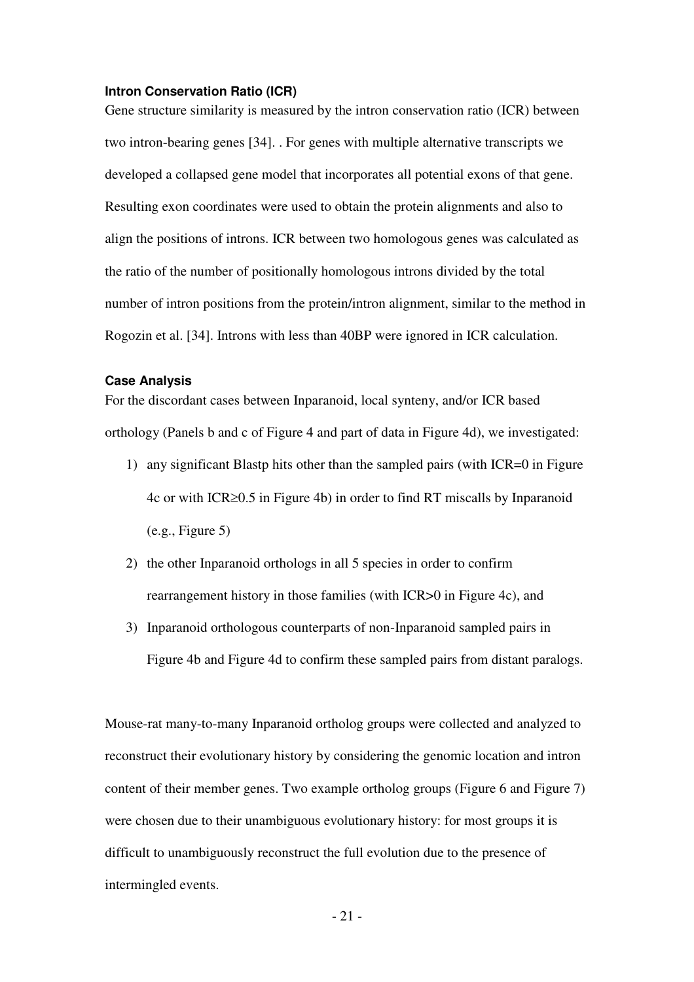#### **Intron Conservation Ratio (ICR)**

Gene structure similarity is measured by the intron conservation ratio (ICR) between two intron-bearing genes [34]. . For genes with multiple alternative transcripts we developed a collapsed gene model that incorporates all potential exons of that gene. Resulting exon coordinates were used to obtain the protein alignments and also to align the positions of introns. ICR between two homologous genes was calculated as the ratio of the number of positionally homologous introns divided by the total number of intron positions from the protein/intron alignment, similar to the method in Rogozin et al. [34]. Introns with less than 40BP were ignored in ICR calculation.

#### **Case Analysis**

For the discordant cases between Inparanoid, local synteny, and/or ICR based orthology (Panels b and c of Figure 4 and part of data in Figure 4d), we investigated:

- 1) any significant Blastp hits other than the sampled pairs (with ICR=0 in Figure 4c or with ICR≥0.5 in Figure 4b) in order to find RT miscalls by Inparanoid  $(e.g., Figure 5)$
- 2) the other Inparanoid orthologs in all 5 species in order to confirm rearrangement history in those families (with ICR>0 in Figure 4c), and
- 3) Inparanoid orthologous counterparts of non-Inparanoid sampled pairs in Figure 4b and Figure 4d to confirm these sampled pairs from distant paralogs.

Mouse-rat many-to-many Inparanoid ortholog groups were collected and analyzed to reconstruct their evolutionary history by considering the genomic location and intron content of their member genes. Two example ortholog groups (Figure 6 and Figure 7) were chosen due to their unambiguous evolutionary history: for most groups it is difficult to unambiguously reconstruct the full evolution due to the presence of intermingled events.

 $-21$  -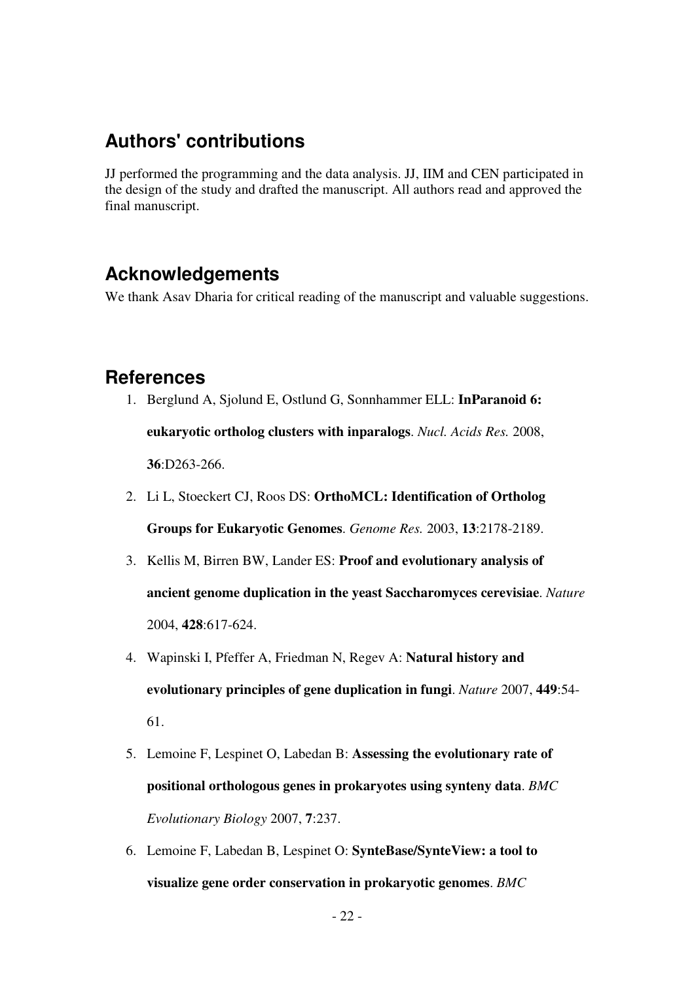# **Authors' contributions**

JJ performed the programming and the data analysis. JJ, IIM and CEN participated in the design of the study and drafted the manuscript. All authors read and approved the final manuscript.

# **Acknowledgements**

We thank Asav Dharia for critical reading of the manuscript and valuable suggestions.

## **References**

- 1. Berglund A, Sjolund E, Ostlund G, Sonnhammer ELL: **InParanoid 6: eukaryotic ortholog clusters with inparalogs**. *Nucl. Acids Res.* 2008, **36**:D263-266.
- 2. Li L, Stoeckert CJ, Roos DS: **OrthoMCL: Identification of Ortholog Groups for Eukaryotic Genomes**. *Genome Res.* 2003, **13**:2178-2189.
- 3. Kellis M, Birren BW, Lander ES: **Proof and evolutionary analysis of ancient genome duplication in the yeast Saccharomyces cerevisiae**. *Nature* 2004, **428**:617-624.
- 4. Wapinski I, Pfeffer A, Friedman N, Regev A: **Natural history and evolutionary principles of gene duplication in fungi**. *Nature* 2007, **449**:54- 61.
- 5. Lemoine F, Lespinet O, Labedan B: **Assessing the evolutionary rate of positional orthologous genes in prokaryotes using synteny data**. *BMC Evolutionary Biology* 2007, **7**:237.
- 6. Lemoine F, Labedan B, Lespinet O: **SynteBase/SynteView: a tool to visualize gene order conservation in prokaryotic genomes**. *BMC*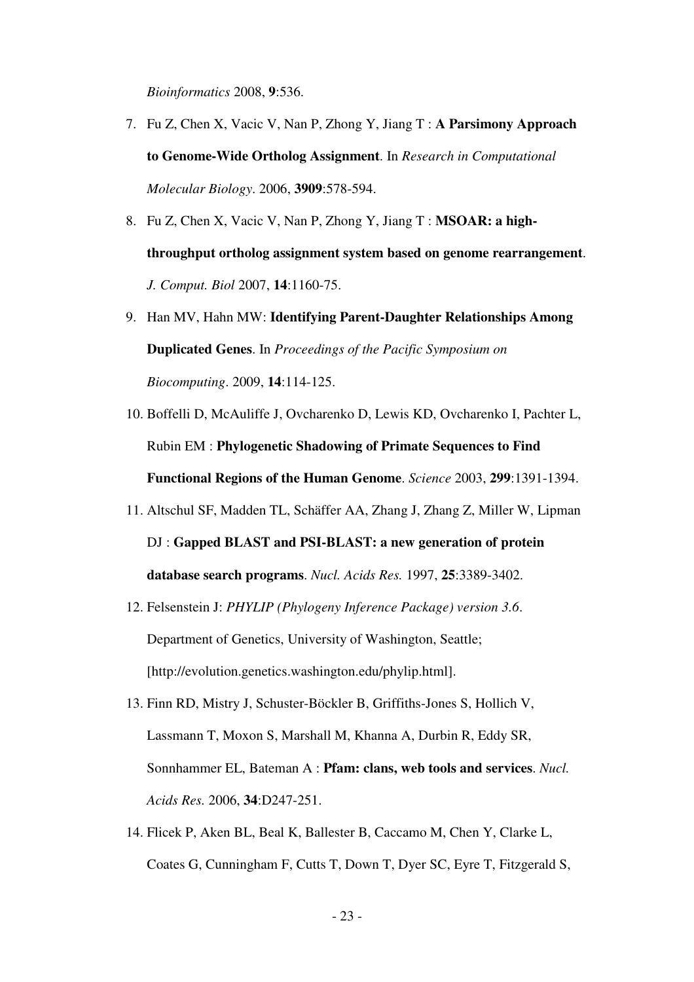*Bioinformatics* 2008, **9**:536.

- 7. Fu Z, Chen X, Vacic V, Nan P, Zhong Y, Jiang T : **A Parsimony Approach to Genome-Wide Ortholog Assignment**. In *Research in Computational Molecular Biology*. 2006, **3909**:578-594.
- 8. Fu Z, Chen X, Vacic V, Nan P, Zhong Y, Jiang T : **MSOAR: a highthroughput ortholog assignment system based on genome rearrangement**. *J. Comput. Biol* 2007, **14**:1160-75.
- 9. Han MV, Hahn MW: **Identifying Parent-Daughter Relationships Among Duplicated Genes**. In *Proceedings of the Pacific Symposium on Biocomputing*. 2009, **14**:114-125.
- 10. Boffelli D, McAuliffe J, Ovcharenko D, Lewis KD, Ovcharenko I, Pachter L, Rubin EM : **Phylogenetic Shadowing of Primate Sequences to Find Functional Regions of the Human Genome**. *Science* 2003, **299**:1391-1394.
- 11. Altschul SF, Madden TL, Schäffer AA, Zhang J, Zhang Z, Miller W, Lipman DJ : **Gapped BLAST and PSI-BLAST: a new generation of protein database search programs**. *Nucl. Acids Res.* 1997, **25**:3389-3402.
- 12. Felsenstein J: *PHYLIP (Phylogeny Inference Package) version 3.6*. Department of Genetics, University of Washington, Seattle; [http://evolution.genetics.washington.edu/phylip.html].
- 13. Finn RD, Mistry J, Schuster-Böckler B, Griffiths-Jones S, Hollich V, Lassmann T, Moxon S, Marshall M, Khanna A, Durbin R, Eddy SR, Sonnhammer EL, Bateman A : **Pfam: clans, web tools and services**. *Nucl. Acids Res.* 2006, **34**:D247-251.
- 14. Flicek P, Aken BL, Beal K, Ballester B, Caccamo M, Chen Y, Clarke L, Coates G, Cunningham F, Cutts T, Down T, Dyer SC, Eyre T, Fitzgerald S,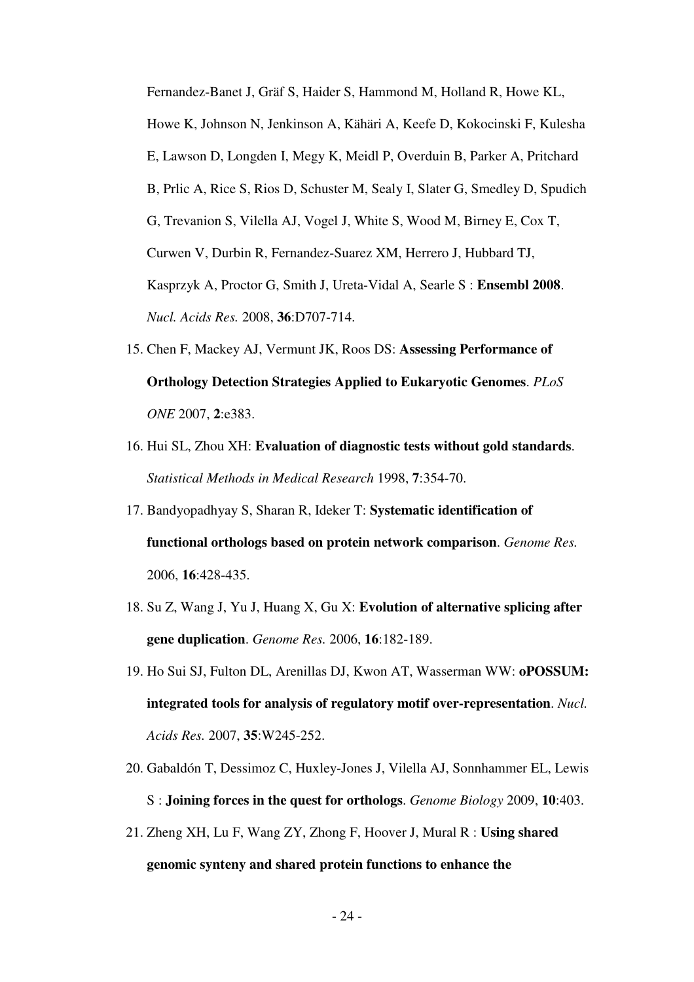Fernandez-Banet J, Gräf S, Haider S, Hammond M, Holland R, Howe KL, Howe K, Johnson N, Jenkinson A, Kähäri A, Keefe D, Kokocinski F, Kulesha E, Lawson D, Longden I, Megy K, Meidl P, Overduin B, Parker A, Pritchard B, Prlic A, Rice S, Rios D, Schuster M, Sealy I, Slater G, Smedley D, Spudich G, Trevanion S, Vilella AJ, Vogel J, White S, Wood M, Birney E, Cox T, Curwen V, Durbin R, Fernandez-Suarez XM, Herrero J, Hubbard TJ, Kasprzyk A, Proctor G, Smith J, Ureta-Vidal A, Searle S : **Ensembl 2008**. *Nucl. Acids Res.* 2008, **36**:D707-714.

- 15. Chen F, Mackey AJ, Vermunt JK, Roos DS: **Assessing Performance of Orthology Detection Strategies Applied to Eukaryotic Genomes**. *PLoS ONE* 2007, **2**:e383.
- 16. Hui SL, Zhou XH: **Evaluation of diagnostic tests without gold standards**. *Statistical Methods in Medical Research* 1998, **7**:354-70.
- 17. Bandyopadhyay S, Sharan R, Ideker T: **Systematic identification of functional orthologs based on protein network comparison**. *Genome Res.* 2006, **16**:428-435.
- 18. Su Z, Wang J, Yu J, Huang X, Gu X: **Evolution of alternative splicing after gene duplication**. *Genome Res.* 2006, **16**:182-189.
- 19. Ho Sui SJ, Fulton DL, Arenillas DJ, Kwon AT, Wasserman WW: **oPOSSUM: integrated tools for analysis of regulatory motif over-representation**. *Nucl. Acids Res.* 2007, **35**:W245-252.
- 20. Gabaldón T, Dessimoz C, Huxley-Jones J, Vilella AJ, Sonnhammer EL, Lewis S : **Joining forces in the quest for orthologs**. *Genome Biology* 2009, **10**:403.
- 21. Zheng XH, Lu F, Wang ZY, Zhong F, Hoover J, Mural R : **Using shared genomic synteny and shared protein functions to enhance the**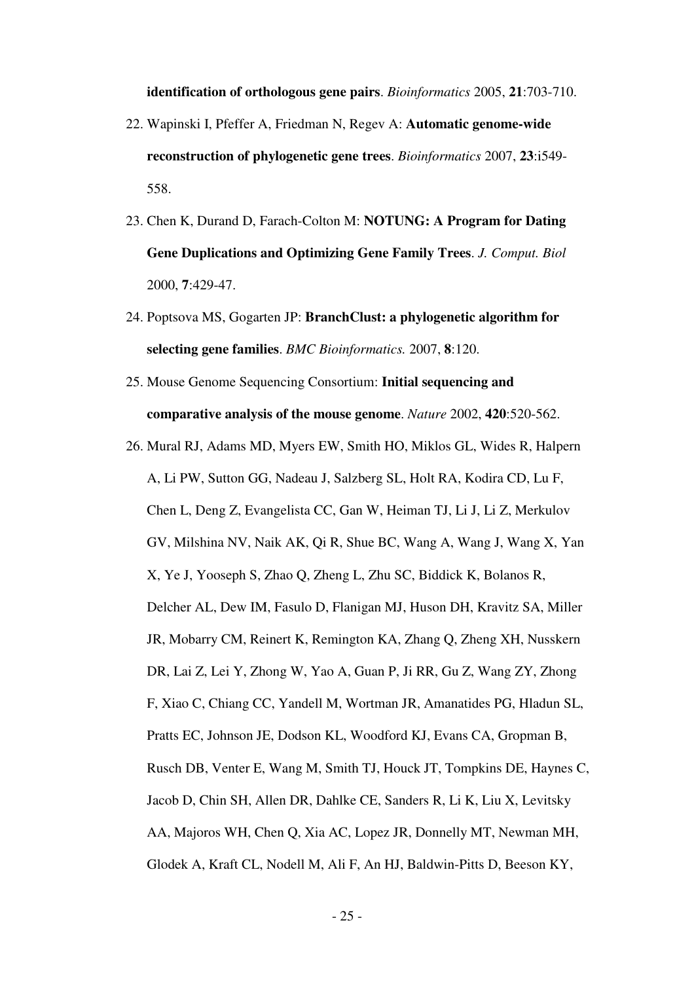#### **identification of orthologous gene pairs**. *Bioinformatics* 2005, **21**:703-710.

- 22. Wapinski I, Pfeffer A, Friedman N, Regev A: **Automatic genome-wide reconstruction of phylogenetic gene trees**. *Bioinformatics* 2007, **23**:i549- 558.
- 23. Chen K, Durand D, Farach-Colton M: **NOTUNG: A Program for Dating Gene Duplications and Optimizing Gene Family Trees**. *J. Comput. Biol* 2000, **7**:429-47.
- 24. Poptsova MS, Gogarten JP: **BranchClust: a phylogenetic algorithm for selecting gene families**. *BMC Bioinformatics.* 2007, **8**:120.
- 25. Mouse Genome Sequencing Consortium: **Initial sequencing and comparative analysis of the mouse genome**. *Nature* 2002, **420**:520-562.
- 26. Mural RJ, Adams MD, Myers EW, Smith HO, Miklos GL, Wides R, Halpern A, Li PW, Sutton GG, Nadeau J, Salzberg SL, Holt RA, Kodira CD, Lu F, Chen L, Deng Z, Evangelista CC, Gan W, Heiman TJ, Li J, Li Z, Merkulov GV, Milshina NV, Naik AK, Qi R, Shue BC, Wang A, Wang J, Wang X, Yan X, Ye J, Yooseph S, Zhao Q, Zheng L, Zhu SC, Biddick K, Bolanos R, Delcher AL, Dew IM, Fasulo D, Flanigan MJ, Huson DH, Kravitz SA, Miller JR, Mobarry CM, Reinert K, Remington KA, Zhang Q, Zheng XH, Nusskern DR, Lai Z, Lei Y, Zhong W, Yao A, Guan P, Ji RR, Gu Z, Wang ZY, Zhong F, Xiao C, Chiang CC, Yandell M, Wortman JR, Amanatides PG, Hladun SL, Pratts EC, Johnson JE, Dodson KL, Woodford KJ, Evans CA, Gropman B, Rusch DB, Venter E, Wang M, Smith TJ, Houck JT, Tompkins DE, Haynes C, Jacob D, Chin SH, Allen DR, Dahlke CE, Sanders R, Li K, Liu X, Levitsky AA, Majoros WH, Chen Q, Xia AC, Lopez JR, Donnelly MT, Newman MH, Glodek A, Kraft CL, Nodell M, Ali F, An HJ, Baldwin-Pitts D, Beeson KY,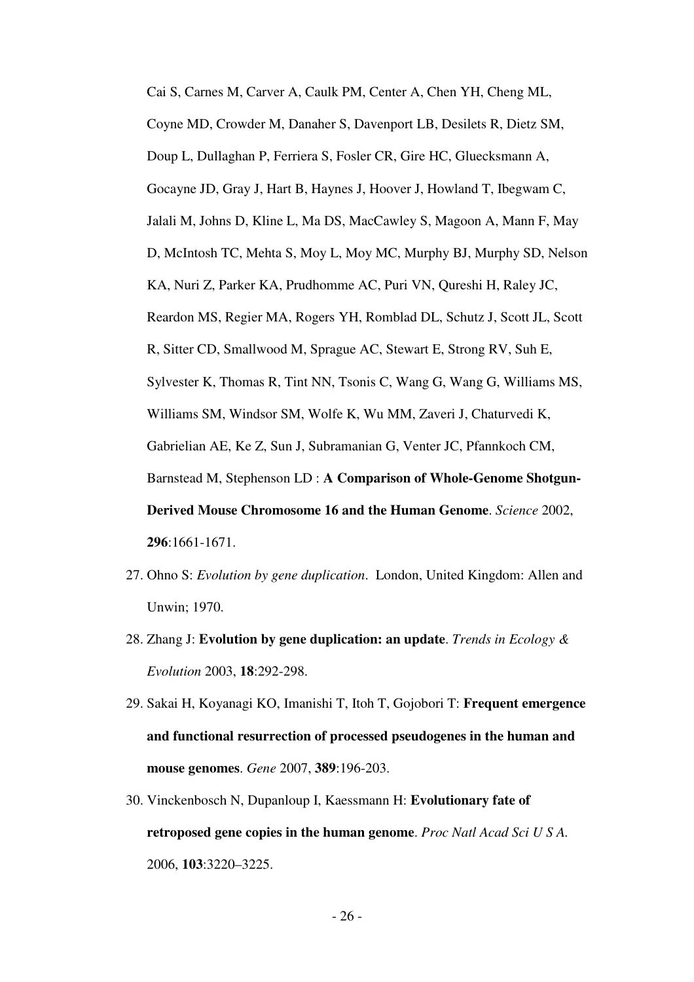Cai S, Carnes M, Carver A, Caulk PM, Center A, Chen YH, Cheng ML, Coyne MD, Crowder M, Danaher S, Davenport LB, Desilets R, Dietz SM, Doup L, Dullaghan P, Ferriera S, Fosler CR, Gire HC, Gluecksmann A, Gocayne JD, Gray J, Hart B, Haynes J, Hoover J, Howland T, Ibegwam C, Jalali M, Johns D, Kline L, Ma DS, MacCawley S, Magoon A, Mann F, May D, McIntosh TC, Mehta S, Moy L, Moy MC, Murphy BJ, Murphy SD, Nelson KA, Nuri Z, Parker KA, Prudhomme AC, Puri VN, Qureshi H, Raley JC, Reardon MS, Regier MA, Rogers YH, Romblad DL, Schutz J, Scott JL, Scott R, Sitter CD, Smallwood M, Sprague AC, Stewart E, Strong RV, Suh E, Sylvester K, Thomas R, Tint NN, Tsonis C, Wang G, Wang G, Williams MS, Williams SM, Windsor SM, Wolfe K, Wu MM, Zaveri J, Chaturvedi K, Gabrielian AE, Ke Z, Sun J, Subramanian G, Venter JC, Pfannkoch CM, Barnstead M, Stephenson LD : **A Comparison of Whole-Genome Shotgun-Derived Mouse Chromosome 16 and the Human Genome**. *Science* 2002, **296**:1661-1671.

- 27. Ohno S: *Evolution by gene duplication*. London, United Kingdom: Allen and Unwin; 1970.
- 28. Zhang J: **Evolution by gene duplication: an update**. *Trends in Ecology & Evolution* 2003, **18**:292-298.
- 29. Sakai H, Koyanagi KO, Imanishi T, Itoh T, Gojobori T: **Frequent emergence and functional resurrection of processed pseudogenes in the human and mouse genomes**. *Gene* 2007, **389**:196-203.
- 30. Vinckenbosch N, Dupanloup I, Kaessmann H: **Evolutionary fate of retroposed gene copies in the human genome**. *Proc Natl Acad Sci U S A.* 2006, **103**:3220–3225.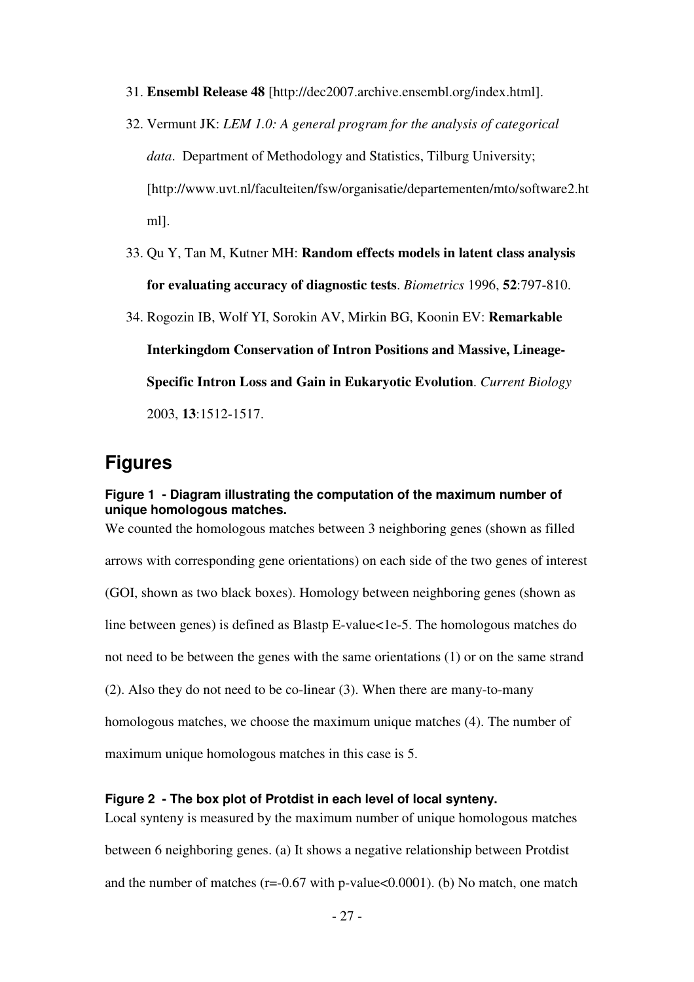- 31. **Ensembl Release 48** [http://dec2007.archive.ensembl.org/index.html].
- 32. Vermunt JK: *LEM 1.0: A general program for the analysis of categorical data*. Department of Methodology and Statistics, Tilburg University; [http://www.uvt.nl/faculteiten/fsw/organisatie/departementen/mto/software2.ht ml].
- 33. Qu Y, Tan M, Kutner MH: **Random effects models in latent class analysis for evaluating accuracy of diagnostic tests**. *Biometrics* 1996, **52**:797-810.
- 34. Rogozin IB, Wolf YI, Sorokin AV, Mirkin BG, Koonin EV: **Remarkable Interkingdom Conservation of Intron Positions and Massive, Lineage-Specific Intron Loss and Gain in Eukaryotic Evolution**. *Current Biology* 2003, **13**:1512-1517.

## **Figures**

#### **Figure 1 - Diagram illustrating the computation of the maximum number of unique homologous matches.**

We counted the homologous matches between 3 neighboring genes (shown as filled arrows with corresponding gene orientations) on each side of the two genes of interest (GOI, shown as two black boxes). Homology between neighboring genes (shown as line between genes) is defined as Blastp E-value<1e-5. The homologous matches do not need to be between the genes with the same orientations (1) or on the same strand (2). Also they do not need to be co-linear (3). When there are many-to-many homologous matches, we choose the maximum unique matches (4). The number of maximum unique homologous matches in this case is 5.

#### **Figure 2 - The box plot of Protdist in each level of local synteny.**

Local synteny is measured by the maximum number of unique homologous matches between 6 neighboring genes. (a) It shows a negative relationship between Protdist and the number of matches ( $r = -0.67$  with p-value $< 0.0001$ ). (b) No match, one match

- 27 -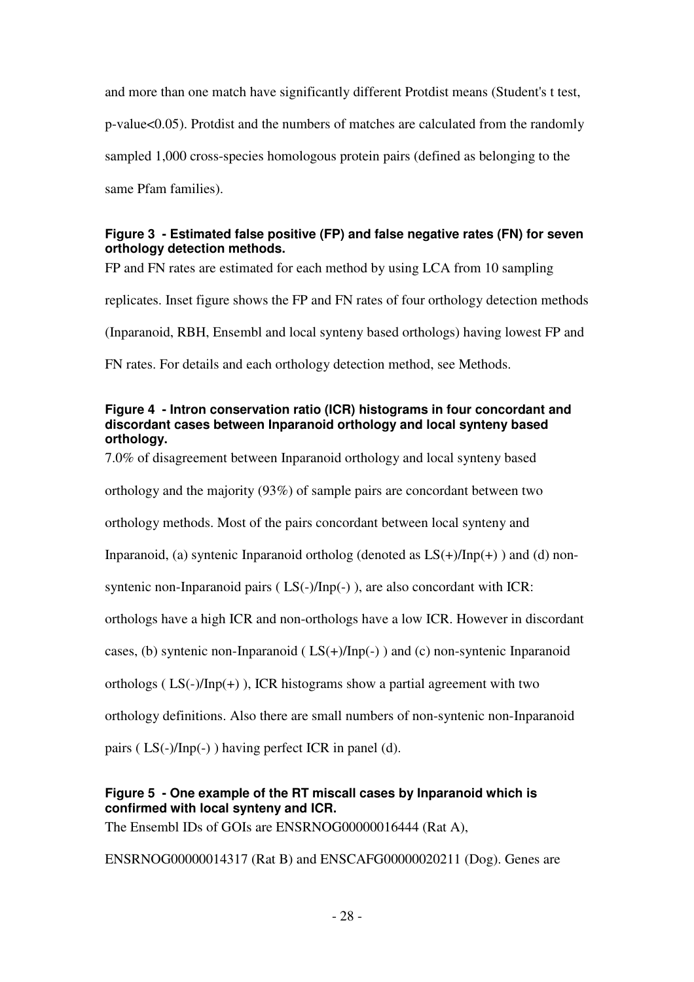and more than one match have significantly different Protdist means (Student's t test, p-value<0.05). Protdist and the numbers of matches are calculated from the randomly sampled 1,000 cross-species homologous protein pairs (defined as belonging to the same Pfam families).

## **Figure 3 - Estimated false positive (FP) and false negative rates (FN) for seven orthology detection methods.**

FP and FN rates are estimated for each method by using LCA from 10 sampling

replicates. Inset figure shows the FP and FN rates of four orthology detection methods

(Inparanoid, RBH, Ensembl and local synteny based orthologs) having lowest FP and

FN rates. For details and each orthology detection method, see Methods.

#### **Figure 4 - Intron conservation ratio (ICR) histograms in four concordant and discordant cases between Inparanoid orthology and local synteny based orthology.**

7.0% of disagreement between Inparanoid orthology and local synteny based

orthology and the majority (93%) of sample pairs are concordant between two

orthology methods. Most of the pairs concordant between local synteny and

Inparanoid, (a) syntenic Inparanoid ortholog (denoted as  $LS(+)/Inp(+)$ ) and (d) non-

syntenic non-Inparanoid pairs (LS(-)/Inp(-)), are also concordant with ICR:

orthologs have a high ICR and non-orthologs have a low ICR. However in discordant

cases, (b) syntenic non-Inparanoid ( $LS(+)/Inp(-)$ ) and (c) non-syntenic Inparanoid

orthologs ( $LS(-)/Inp(+)$ ), ICR histograms show a partial agreement with two

orthology definitions. Also there are small numbers of non-syntenic non-Inparanoid

pairs ( LS(-)/Inp(-) ) having perfect ICR in panel (d).

### **Figure 5 - One example of the RT miscall cases by Inparanoid which is confirmed with local synteny and ICR.**

The Ensembl IDs of GOIs are ENSRNOG00000016444 (Rat A),

ENSRNOG00000014317 (Rat B) and ENSCAFG00000020211 (Dog). Genes are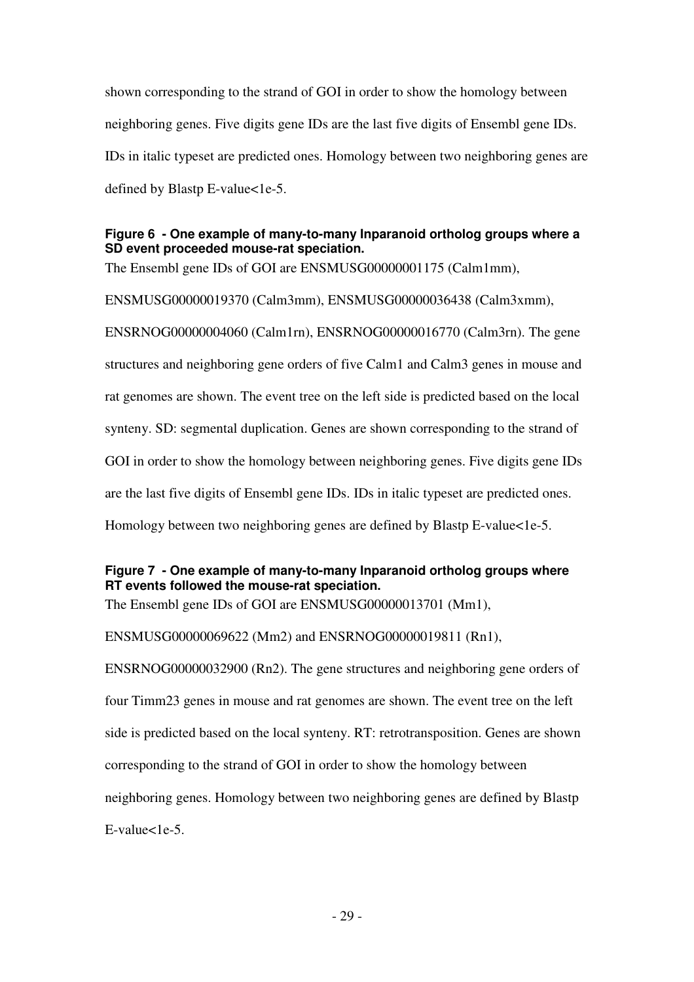shown corresponding to the strand of GOI in order to show the homology between neighboring genes. Five digits gene IDs are the last five digits of Ensembl gene IDs. IDs in italic typeset are predicted ones. Homology between two neighboring genes are defined by Blastp E-value<1e-5.

## **Figure 6 - One example of many-to-many Inparanoid ortholog groups where a SD event proceeded mouse-rat speciation.**

The Ensembl gene IDs of GOI are ENSMUSG00000001175 (Calm1mm),

ENSMUSG00000019370 (Calm3mm), ENSMUSG00000036438 (Calm3xmm),

ENSRNOG00000004060 (Calm1rn), ENSRNOG00000016770 (Calm3rn). The gene structures and neighboring gene orders of five Calm1 and Calm3 genes in mouse and rat genomes are shown. The event tree on the left side is predicted based on the local synteny. SD: segmental duplication. Genes are shown corresponding to the strand of GOI in order to show the homology between neighboring genes. Five digits gene IDs are the last five digits of Ensembl gene IDs. IDs in italic typeset are predicted ones. Homology between two neighboring genes are defined by Blastp E-value<1e-5.

## **Figure 7 - One example of many-to-many Inparanoid ortholog groups where RT events followed the mouse-rat speciation.**

The Ensembl gene IDs of GOI are ENSMUSG00000013701 (Mm1),

ENSMUSG00000069622 (Mm2) and ENSRNOG00000019811 (Rn1),

ENSRNOG00000032900 (Rn2). The gene structures and neighboring gene orders of four Timm23 genes in mouse and rat genomes are shown. The event tree on the left side is predicted based on the local synteny. RT: retrotransposition. Genes are shown corresponding to the strand of GOI in order to show the homology between neighboring genes. Homology between two neighboring genes are defined by Blastp  $E-value < 1e-5$ .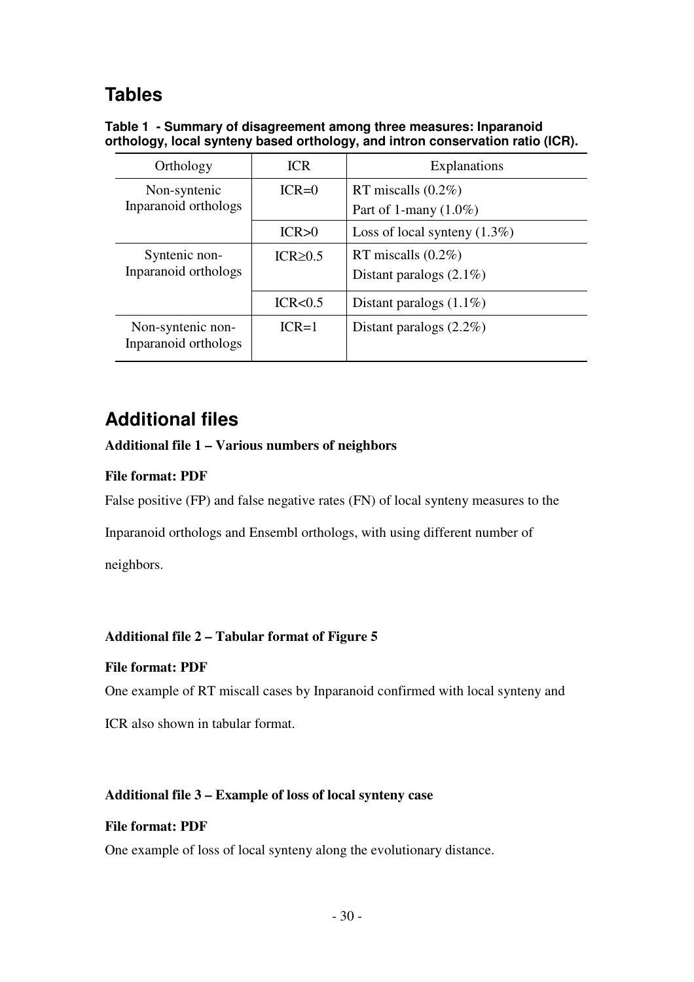# **Tables**

**Table 1 - Summary of disagreement among three measures: Inparanoid orthology, local synteny based orthology, and intron conservation ratio (ICR).** 

| Orthology                                 | <b>ICR</b>     | <b>Explanations</b>                                 |
|-------------------------------------------|----------------|-----------------------------------------------------|
| Non-syntenic<br>Inparanoid orthologs      | $ICR=0$        | RT miscalls $(0.2\%)$<br>Part of 1-many $(1.0\%)$   |
|                                           | ICR > 0        | Loss of local synteny $(1.3\%)$                     |
| Syntenic non-<br>Inparanoid orthologs     | $ICR \geq 0.5$ | RT miscalls $(0.2\%)$<br>Distant paralogs $(2.1\%)$ |
|                                           | ICR < 0.5      | Distant paralogs $(1.1\%)$                          |
| Non-syntenic non-<br>Inparanoid orthologs | $ICR=1$        | Distant paralogs $(2.2\%)$                          |

# **Additional files**

### **Additional file 1 – Various numbers of neighbors**

### **File format: PDF**

False positive (FP) and false negative rates (FN) of local synteny measures to the

Inparanoid orthologs and Ensembl orthologs, with using different number of

neighbors.

### **Additional file 2 – Tabular format of Figure 5**

### **File format: PDF**

One example of RT miscall cases by Inparanoid confirmed with local synteny and

ICR also shown in tabular format.

### **Additional file 3 – Example of loss of local synteny case**

#### **File format: PDF**

One example of loss of local synteny along the evolutionary distance.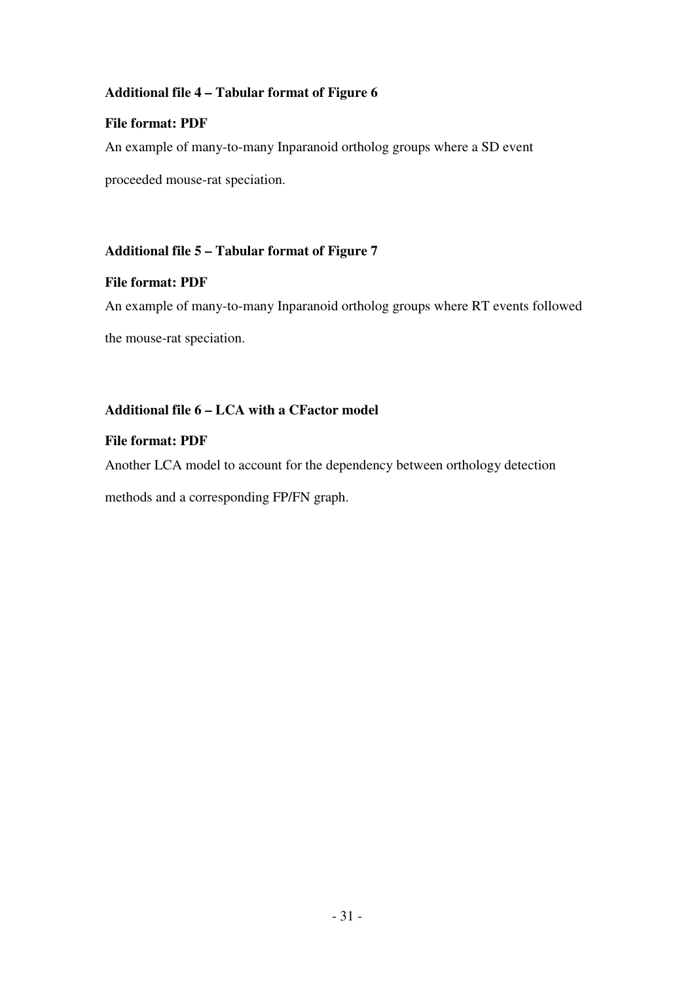## **Additional file 4 – Tabular format of Figure 6**

## **File format: PDF**

An example of many-to-many Inparanoid ortholog groups where a SD event

proceeded mouse-rat speciation.

## **Additional file 5 – Tabular format of Figure 7**

### **File format: PDF**

An example of many-to-many Inparanoid ortholog groups where RT events followed

the mouse-rat speciation.

## **Additional file 6 – LCA with a CFactor model**

### **File format: PDF**

Another LCA model to account for the dependency between orthology detection

methods and a corresponding FP/FN graph.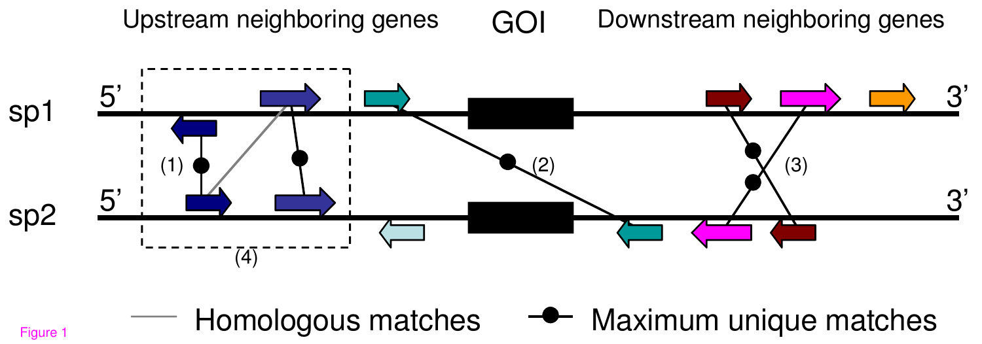

Homologous matches

GOI Upstream neighboring genes  $GO$  Downstream neighboring genes

**-** Maximum unique matches

Figure 1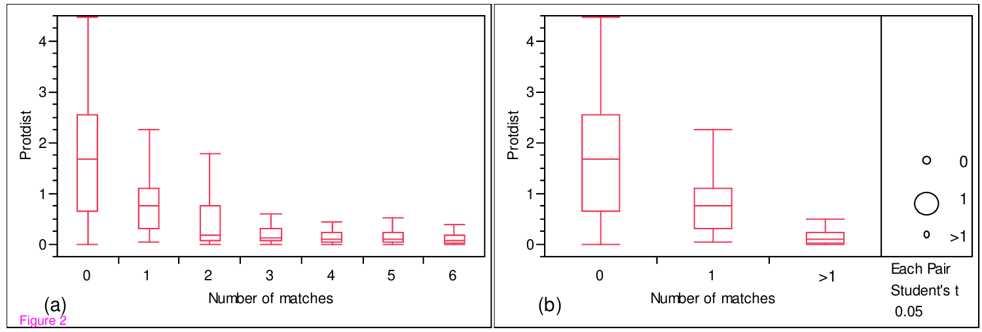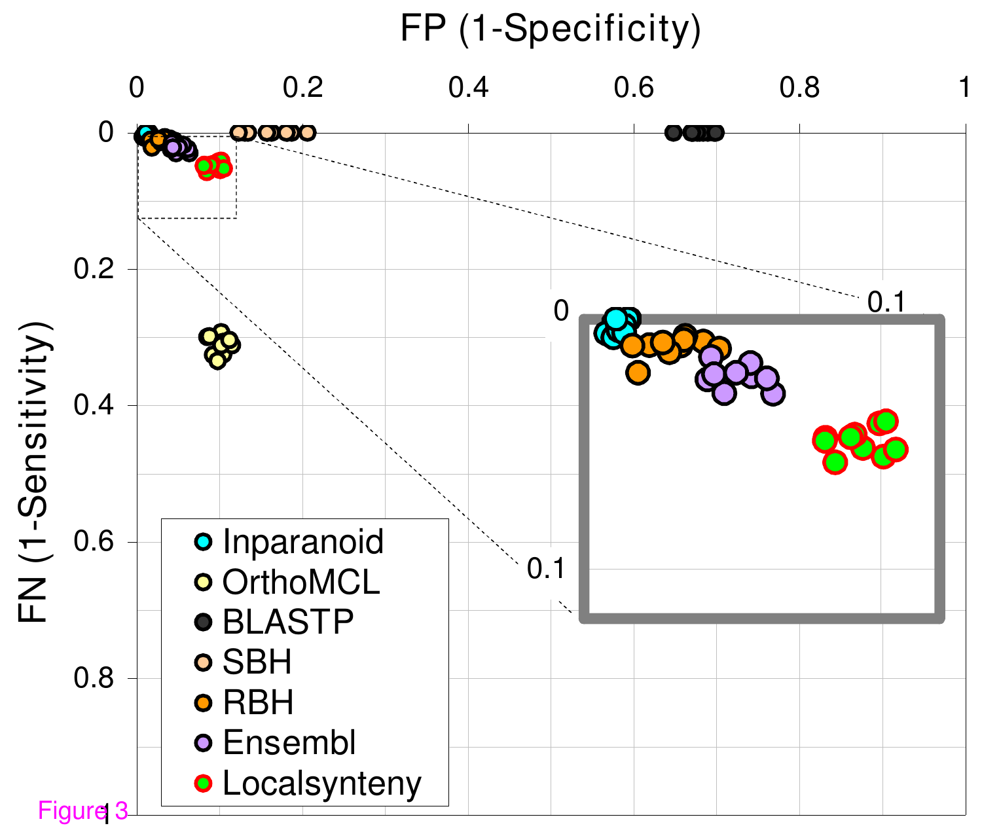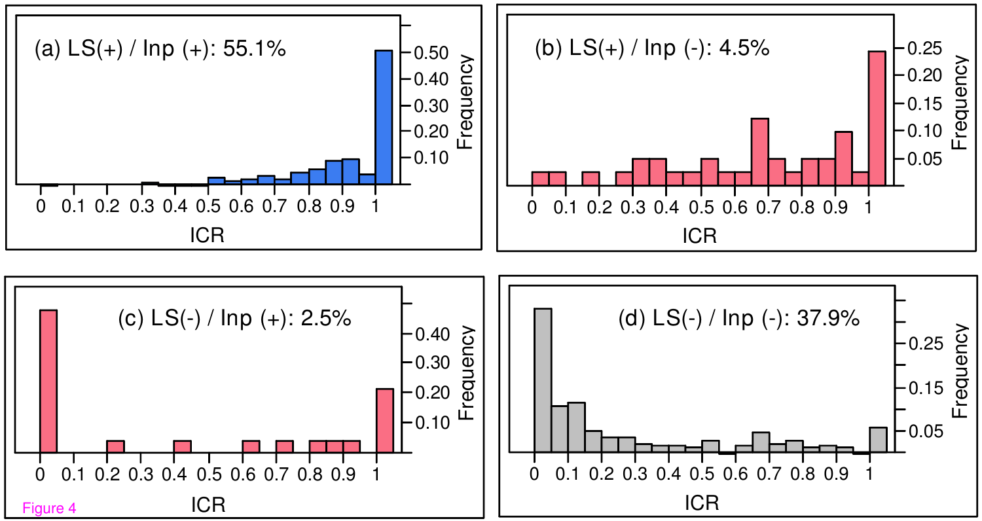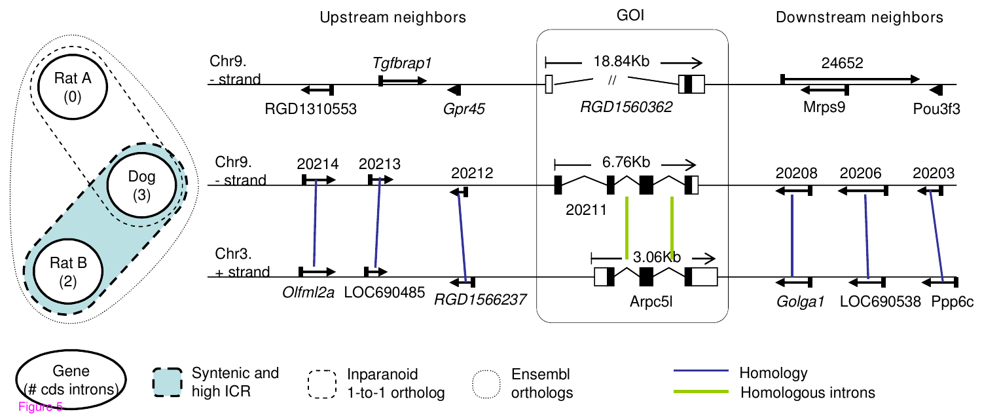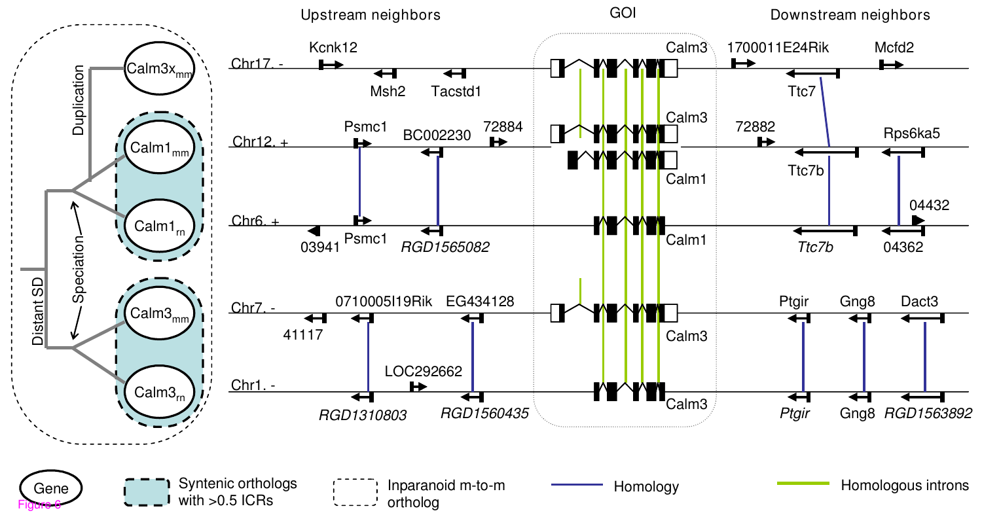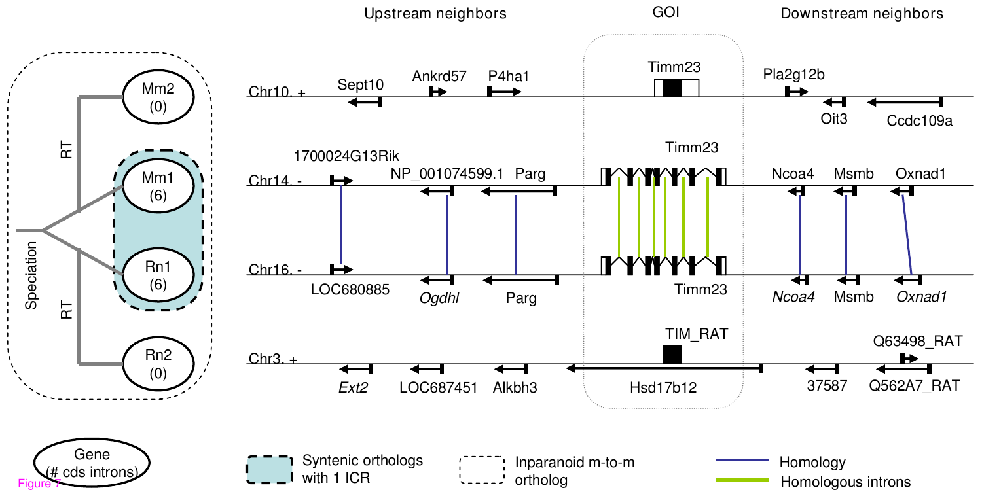